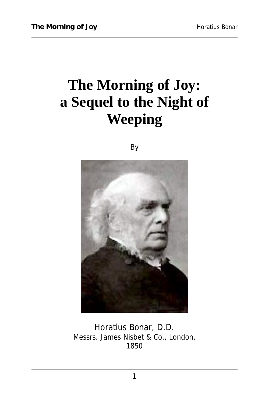# **The Morning of Joy: a Sequel to the Night of Weeping**

By



Horatius Bonar, D.D. Messrs. James Nisbet & Co., London. 1850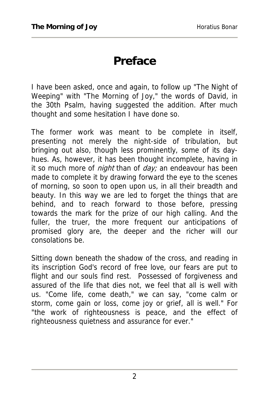### **Preface**

I have been asked, once and again, to follow up "The Night of Weeping" with "The Morning of Joy," the words of David, in the 30th Psalm, having suggested the addition. After much thought and some hesitation I have done so.

The former work was meant to be complete in itself, presenting not merely the night-side of tribulation, but bringing out also, though less prominently, some of its dayhues. As, however, it has been thought incomplete, having in it so much more of *night* than of  $day$ ; an endeavour has been made to complete it by drawing forward the eye to the scenes of morning, so soon to open upon us, in all their breadth and beauty. In this way we are led to forget the things that are behind, and to reach forward to those before, pressing towards the mark for the prize of our high calling. And the fuller, the truer, the more frequent our anticipations of promised glory are, the deeper and the richer will our consolations be.

Sitting down beneath the shadow of the cross, and reading in its inscription God's record of free love, our fears are put to flight and our souls find rest. Possessed of forgiveness and assured of the life that dies not, we feel that all is well with us. "Come life, come death," we can say, "come calm or storm, come gain or loss, come joy or grief, all is well." For "the work of righteousness is peace, and the effect of righteousness quietness and assurance for ever."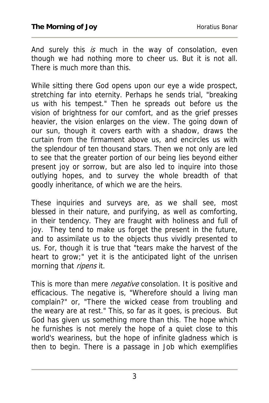And surely this is much in the way of consolation, even though we had nothing more to cheer us. But it is not all. There is much more than this.

While sitting there God opens upon our eye a wide prospect, stretching far into eternity. Perhaps he sends trial, "breaking us with his tempest." Then he spreads out before us the vision of brightness for our comfort, and as the grief presses heavier, the vision enlarges on the view. The going down of our sun, though it covers earth with a shadow, draws the curtain from the firmament above us, and encircles us with the splendour of ten thousand stars. Then we not only are led to see that the greater portion of our being lies beyond either present joy or sorrow, but are also led to inquire into those outlying hopes, and to survey the whole breadth of that goodly inheritance, of which we are the heirs.

These inquiries and surveys are, as we shall see, most blessed in their nature, and purifying, as well as comforting, in their tendency. They are fraught with holiness and full of joy. They tend to make us forget the present in the future, and to assimilate us to the objects thus vividly presented to us. For, though it is true that "tears make the harvest of the heart to grow;" yet it is the anticipated light of the unrisen morning that *ripens* it.

This is more than mere *negative* consolation. It is positive and efficacious. The negative is, "Wherefore should a living man complain?" or, "There the wicked cease from troubling and the weary are at rest." This, so far as it goes, is precious. But God has given us something more than this. The hope which he furnishes is not merely the hope of a quiet close to this world's weariness, but the hope of infinite gladness which is then to begin. There is a passage in Job which exemplifies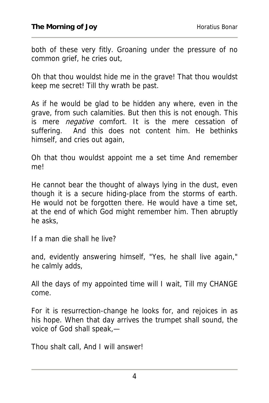both of these very fitly. Groaning under the pressure of no common grief, he cries out,

Oh that thou wouldst hide me in the grave! That thou wouldst keep me secret! Till thy wrath be past.

As if he would be glad to be hidden any where, even in the grave, from such calamities. But then this is not enough. This is mere *negative* comfort. It is the mere cessation of suffering. And this does not content him. He bethinks himself, and cries out again,

Oh that thou wouldst appoint me a set time And remember me!

He cannot bear the thought of always lying in the dust, even though it is a secure hiding-place from the storms of earth. He would not be forgotten there. He would have a time set, at the end of which God might remember him. Then abruptly he asks,

If a man die shall he live?

and, evidently answering himself, "Yes, he shall live again," he calmly adds,

All the days of my appointed time will I wait, Till my CHANGE come.

For it is resurrection-change he looks for, and rejoices in as his hope. When that day arrives the trumpet shall sound, the voice of God shall speak,—

Thou shalt call, And I will answer!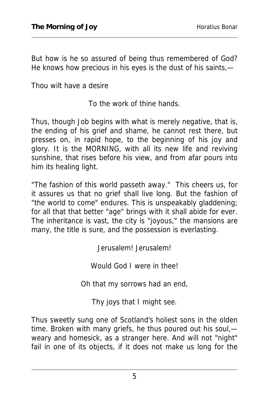But how is he so assured of being thus remembered of God? He knows how precious in his eyes is the dust of his saints,—

Thou wilt have a desire

To the work of thine hands.

Thus, though Job begins with what is merely negative, that is, the ending of his grief and shame, he cannot rest there, but presses on, in rapid hope, to the beginning of his joy and glory. It is the MORNING, with all its new life and reviving sunshine, that rises before his view, and from afar pours into him its healing light.

"The fashion of this world passeth away." This cheers us, for it assures us that no grief shall live long. But the fashion of "the world to come" endures. This is unspeakably gladdening; for all that that better "age" brings with it shall abide for ever. The inheritance is vast, the city is "joyous," the mansions are many, the title is sure, and the possession is everlasting.

Jerusalem! Jerusalem!

Would God I were in thee!

Oh that my sorrows had an end,

Thy joys that I might see.

Thus sweetly sung one of Scotland's holiest sons in the olden time. Broken with many griefs, he thus poured out his soul, weary and homesick, as a stranger here. And will not "night" fail in one of its objects, if it does not make us long for the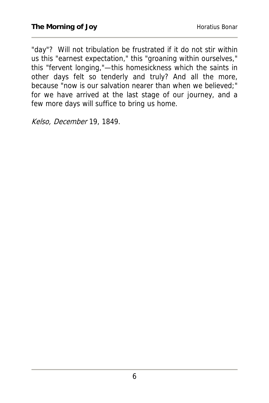"day"? Will not tribulation be frustrated if it do not stir within us this "earnest expectation," this "groaning within ourselves," this "fervent longing,"—this homesickness which the saints in other days felt so tenderly and truly? And all the more, because "now is our salvation nearer than when we believed;" for we have arrived at the last stage of our journey, and a few more days will suffice to bring us home.

Kelso, December 19, 1849.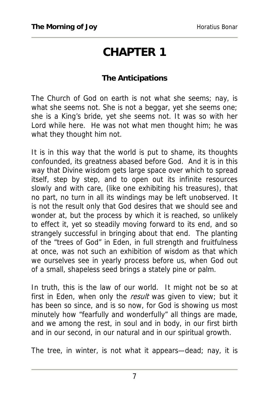## **CHAPTER 1**

#### **The Anticipations**

The Church of God on earth is not what she seems; nay, is what she seems not. She is not a beggar, yet she seems one; she is a King's bride, yet she seems not. It was so with her Lord while here. He was not what men thought him; he was what they thought him not.

It is in this way that the world is put to shame, its thoughts confounded, its greatness abased before God. And it is in this way that Divine wisdom gets large space over which to spread itself, step by step, and to open out its infinite resources slowly and with care, (like one exhibiting his treasures), that no part, no turn in all its windings may be left unobserved. It is not the result only that God desires that we should see and wonder at, but the process by which it is reached, so unlikely to effect it, yet so steadily moving forward to its end, and so strangely successful in bringing about that end. The planting of the "trees of God" in Eden, in full strength and fruitfulness at once, was not such an exhibition of wisdom as that which we ourselves see in yearly process before us, when God out of a small, shapeless seed brings a stately pine or palm.

In truth, this is the law of our world. It might not be so at first in Eden, when only the result was given to view; but it has been so since, and is so now, for God is showing us most minutely how "fearfully and wonderfully" all things are made, and we among the rest, in soul and in body, in our first birth and in our second, in our natural and in our spiritual growth.

The tree, in winter, is not what it appears—dead; nay, it is

7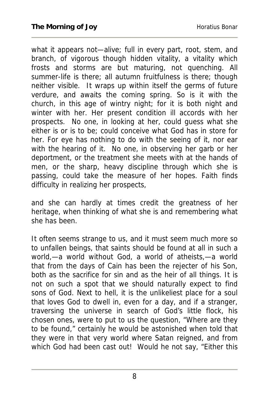what it appears not—alive; full in every part, root, stem, and branch, of vigorous though hidden vitality, a vitality which frosts and storms are but maturing, not quenching. All summer-life is there; all autumn fruitfulness is there; though neither visible. It wraps up within itself the germs of future verdure, and awaits the coming spring. So is it with the church, in this age of wintry night; for it is both night and winter with her. Her present condition ill accords with her prospects. No one, in looking at her, could guess what she either is or is to be; could conceive what God has in store for her. For eye has nothing to do with the seeing of it, nor ear with the hearing of it. No one, in observing her garb or her deportment, or the treatment she meets with at the hands of men, or the sharp, heavy discipline through which she is passing, could take the measure of her hopes. Faith finds difficulty in realizing her prospects,

and she can hardly at times credit the greatness of her heritage, when thinking of what she is and remembering what she has been.

It often seems strange to us, and it must seem much more so to unfallen beings, that saints should be found at all in such a world,—a world without God, a world of atheists,—a world that from the days of Cain has been the rejecter of his Son, both as the sacrifice for sin and as the heir of all things. It is not on such a spot that we should naturally expect to find sons of God. Next to hell, it is the unlikeliest place for a soul that loves God to dwell in, even for a day, and if a stranger, traversing the universe in search of God's little flock, his chosen ones, were to put to us the question, "Where are they to be found," certainly he would be astonished when told that they were in that very world where Satan reigned, and from which God had been cast out! Would he not say, "Either this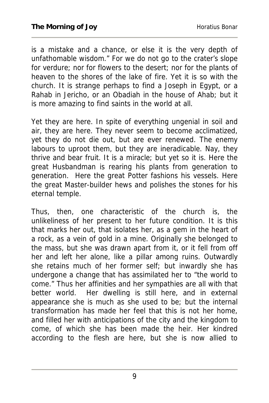is a mistake and a chance, or else it is the very depth of unfathomable wisdom." For we do not go to the crater's slope for verdure; nor for flowers to the desert; nor for the plants of heaven to the shores of the lake of fire. Yet it is so with the church. It is strange perhaps to find a Joseph in Egypt, or a Rahab in Jericho, or an Obadiah in the house of Ahab; but it is more amazing to find saints in the world at all.

Yet they are here. In spite of everything ungenial in soil and air, they are here. They never seem to become acclimatized, yet they do not die out, but are ever renewed. The enemy labours to uproot them, but they are ineradicable. Nay, they thrive and bear fruit. It is a miracle; but yet so it is. Here the great Husbandman is rearing his plants from generation to generation. Here the great Potter fashions his vessels. Here the great Master-builder hews and polishes the stones for his eternal temple.

Thus, then, one characteristic of the church is, the unlikeliness of her present to her future condition. It is this that marks her out, that isolates her, as a gem in the heart of a rock, as a vein of gold in a mine. Originally she belonged to the mass, but she was drawn apart from it, or it fell from off her and left her alone, like a pillar among ruins. Outwardly she retains much of her former self; but inwardly she has undergone a change that has assimilated her to "the world to come." Thus her affinities and her sympathies are all with that better world. Her dwelling is still here, and in external appearance she is much as she used to be; but the internal transformation has made her feel that this is not her home, and filled her with anticipations of the city and the kingdom to come, of which she has been made the heir. Her kindred according to the flesh are here, but she is now allied to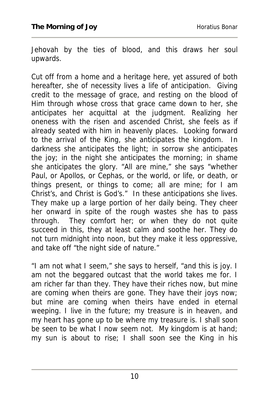Jehovah by the ties of blood, and this draws her soul upwards.

Cut off from a home and a heritage here, yet assured of both hereafter, she of necessity lives a life of anticipation. Giving credit to the message of grace, and resting on the blood of Him through whose cross that grace came down to her, she anticipates her acquittal at the judgment. Realizing her oneness with the risen and ascended Christ, she feels as if already seated with him in heavenly places. Looking forward to the arrival of the King, she anticipates the kingdom. In darkness she anticipates the light; in sorrow she anticipates the joy; in the night she anticipates the morning; in shame she anticipates the glory. "All are mine," she says "whether Paul, or Apollos, or Cephas, or the world, or life, or death, or things present, or things to come; all are mine; for I am Christ's, and Christ is God's." In these anticipations she lives. They make up a large portion of her daily being. They cheer her onward in spite of the rough wastes she has to pass through. They comfort her; or when they do not quite succeed in this, they at least calm and soothe her. They do not turn midnight into noon, but they make it less oppressive, and take off "the night side of nature."

"I am not what I seem," she says to herself, "and this is joy. I am not the beggared outcast that the world takes me for. I am richer far than they. They have their riches now, but mine are coming when theirs are gone. They have their joys now; but mine are coming when theirs have ended in eternal weeping. I live in the future; my treasure is in heaven, and my heart has gone up to be where my treasure is. I shall soon be seen to be what I now seem not. My kingdom is at hand; my sun is about to rise; I shall soon see the King in his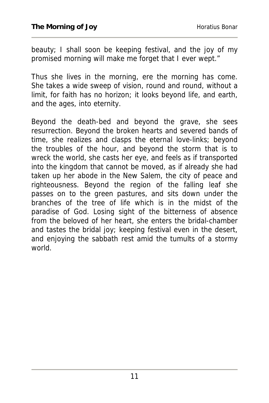beauty; I shall soon be keeping festival, and the joy of my promised morning will make me forget that I ever wept."

Thus she lives in the morning, ere the morning has come. She takes a wide sweep of vision, round and round, without a limit, for faith has no horizon; it looks beyond life, and earth, and the ages, into eternity.

Beyond the death-bed and beyond the grave, she sees resurrection. Beyond the broken hearts and severed bands of time, she realizes and clasps the eternal love-links; beyond the troubles of the hour, and beyond the storm that is to wreck the world, she casts her eye, and feels as if transported into the kingdom that cannot be moved, as if already she had taken up her abode in the New Salem, the city of peace and righteousness. Beyond the region of the falling leaf she passes on to the green pastures, and sits down under the branches of the tree of life which is in the midst of the paradise of God. Losing sight of the bitterness of absence from the beloved of her heart, she enters the bridal-chamber and tastes the bridal joy; keeping festival even in the desert, and enjoying the sabbath rest amid the tumults of a stormy world.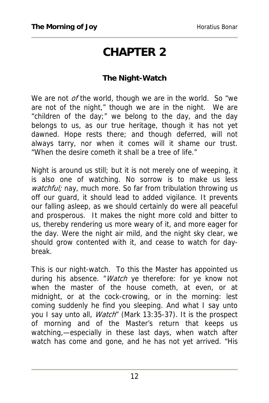### **CHAPTER 2**

#### **The Night-Watch**

We are not of the world, though we are in the world. So "we are not of the night," though we are in the night. We are "children of the day;" we belong to the day, and the day belongs to us, as our true heritage, though it has not yet dawned. Hope rests there; and though deferred, will not always tarry, nor when it comes will it shame our trust. "When the desire cometh it shall be a tree of life."

Night is around us still; but it is not merely one of weeping, it is also one of watching. No sorrow is to make us less watchful; nay, much more. So far from tribulation throwing us off our guard, it should lead to added vigilance. It prevents our falling asleep, as we should certainly do were all peaceful and prosperous. It makes the night more cold and bitter to us, thereby rendering us more weary of it, and more eager for the day. Were the night air mild, and the night sky clear, we should grow contented with it, and cease to watch for daybreak.

This is our night-watch. To this the Master has appointed us during his absence. "Watch ye therefore: for ye know not when the master of the house cometh, at even, or at midnight, or at the cock-crowing, or in the morning: lest coming suddenly he find you sleeping. And what I say unto you I say unto all, *Watch*" (Mark 13:35-37). It is the prospect of morning and of the Master's return that keeps us watching,—especially in these last days, when watch after watch has come and gone, and he has not yet arrived. "His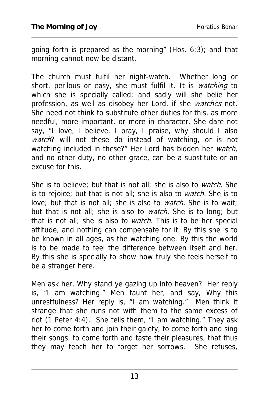going forth is prepared as the morning" (Hos. 6:3); and that morning cannot now be distant.

The church must fulfil her night-watch. Whether long or short, perilous or easy, she must fulfil it. It is watching to which she is specially called; and sadly will she belie her profession, as well as disobey her Lord, if she watches not. She need not think to substitute other duties for this, as more needful, more important, or more in character. She dare not say, "I love, I believe, I pray, I praise, why should I also watch? will not these do instead of watching, or is not watching included in these?" Her Lord has bidden her watch, and no other duty, no other grace, can be a substitute or an excuse for this.

She is to believe; but that is not all; she is also to watch. She is to rejoice; but that is not all; she is also to watch. She is to love; but that is not all; she is also to *watch*. She is to wait; but that is not all; she is also to watch. She is to long; but that is not all; she is also to watch. This is to be her special attitude, and nothing can compensate for it. By this she is to be known in all ages, as the watching one. By this the world is to be made to feel the difference between itself and her. By this she is specially to show how truly she feels herself to be a stranger here.

Men ask her, Why stand ye gazing up into heaven? Her reply is, "I am watching." Men taunt her, and say, Why this unrestfulness? Her reply is, "I am watching." Men think it strange that she runs not with them to the same excess of riot (1 Peter 4:4). She tells them, "I am watching." They ask her to come forth and join their gaiety, to come forth and sing their songs, to come forth and taste their pleasures, that thus they may teach her to forget her sorrows. She refuses,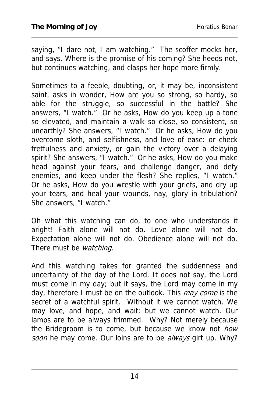saying, "I dare not, I am watching." The scoffer mocks her, and says, Where is the promise of his coming? She heeds not, but continues watching, and clasps her hope more firmly.

Sometimes to a feeble, doubting, or, it may be, inconsistent saint, asks in wonder, How are you so strong, so hardy, so able for the struggle, so successful in the battle? She answers, "I watch." Or he asks, How do you keep up a tone so elevated, and maintain a walk so close, so consistent, so unearthly? She answers, "I watch." Or he asks, How do you overcome sloth, and selfishness, and love of ease: or check fretfulness and anxiety, or gain the victory over a delaying spirit? She answers, "I watch." Or he asks, How do you make head against your fears, and challenge danger, and defy enemies, and keep under the flesh? She replies, "I watch." Or he asks, How do you wrestle with your griefs, and dry up your tears, and heal your wounds, nay, glory in tribulation? She answers, "I watch."

Oh what this watching can do, to one who understands it aright! Faith alone will not do. Love alone will not do. Expectation alone will not do. Obedience alone will not do. There must be watching.

And this watching takes for granted the suddenness and uncertainty of the day of the Lord. It does not say, the Lord must come in my day; but it says, the Lord may come in my day, therefore I must be on the outlook. This *may come* is the secret of a watchful spirit. Without it we cannot watch. We may love, and hope, and wait; but we cannot watch. Our lamps are to be always trimmed. Why? Not merely because the Bridegroom is to come, but because we know not how soon he may come. Our loins are to be *always* girt up. Why?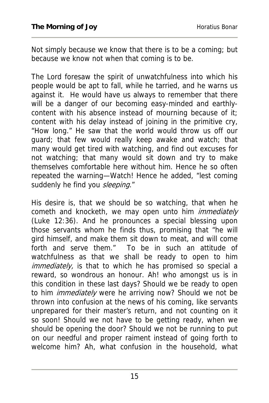Not simply because we know that there is to be a coming; but because we know not when that coming is to be.

The Lord foresaw the spirit of unwatchfulness into which his people would be apt to fall, while he tarried, and he warns us against it. He would have us always to remember that there will be a danger of our becoming easy-minded and earthlycontent with his absence instead of mourning because of it; content with his delay instead of joining in the primitive cry, "How long." He saw that the world would throw us off our guard; that few would really keep awake and watch; that many would get tired with watching, and find out excuses for not watching; that many would sit down and try to make themselves comfortable here without him. Hence he so often repeated the warning—Watch! Hence he added, "lest coming suddenly he find you sleeping."

His desire is, that we should be so watching, that when he cometh and knocketh, we may open unto him *immediately* (Luke 12:36). And he pronounces a special blessing upon those servants whom he finds thus, promising that "he will gird himself, and make them sit down to meat, and will come forth and serve them." To be in such an attitude of watchfulness as that we shall be ready to open to him immediately, is that to which he has promised so special a reward, so wondrous an honour. Ah! who amongst us is in this condition in these last days? Should we be ready to open to him *immediately* were he arriving now? Should we not be thrown into confusion at the news of his coming, like servants unprepared for their master's return, and not counting on it so soon! Should we not have to be getting ready, when we should be opening the door? Should we not be running to put on our needful and proper raiment instead of going forth to welcome him? Ah, what confusion in the household, what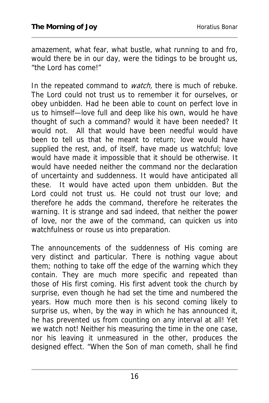amazement, what fear, what bustle, what running to and fro, would there be in our day, were the tidings to be brought us, "the Lord has come!"

In the repeated command to *watch*, there is much of rebuke. The Lord could not trust us to remember it for ourselves, or obey unbidden. Had he been able to count on perfect love in us to himself—love full and deep like his own, would he have thought of such a command? would it have been needed? It would not. All that would have been needful would have been to tell us that he meant to return; love would have supplied the rest, and, of itself, have made us watchful; love would have made it impossible that it should be otherwise. It would have needed neither the command nor the declaration of uncertainty and suddenness. It would have anticipated all these. It would have acted upon them unbidden. But the Lord could not trust us. He could not trust our love; and therefore he adds the command, therefore he reiterates the warning. It is strange and sad indeed, that neither the power of love, nor the awe of the command, can quicken us into watchfulness or rouse us into preparation.

The announcements of the suddenness of His coming are very distinct and particular. There is nothing vague about them; nothing to take off the edge of the warning which they contain. They are much more specific and repeated than those of His first coming. His first advent took the church by surprise, even though he had set the time and numbered the years. How much more then is his second coming likely to surprise us, when, by the way in which he has announced it, he has prevented us from counting on any interval at all! Yet we watch not! Neither his measuring the time in the one case, nor his leaving it unmeasured in the other, produces the designed effect. "When the Son of man cometh, shall he find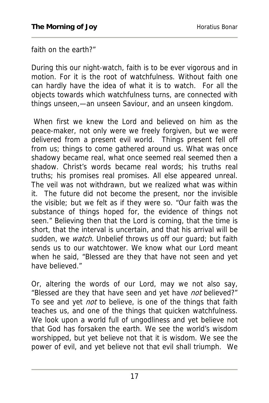faith on the earth?"

During this our night-watch, faith is to be ever vigorous and in motion. For it is the root of watchfulness. Without faith one can hardly have the idea of what it is to watch. For all the objects towards which watchfulness turns, are connected with things unseen,—an unseen Saviour, and an unseen kingdom.

 When first we knew the Lord and believed on him as the peace-maker, not only were we freely forgiven, but we were delivered from a present evil world. Things present fell off from us; things to come gathered around us. What was once shadowy became real, what once seemed real seemed then a shadow. Christ's words became real words; his truths real truths; his promises real promises. All else appeared unreal. The veil was not withdrawn, but we realized what was within it. The future did not become the present, nor the invisible the visible; but we felt as if they were so. "Our faith was the substance of things hoped for, the evidence of things not seen." Believing then that the Lord is coming, that the time is short, that the interval is uncertain, and that his arrival will be sudden, we watch. Unbelief throws us off our guard; but faith sends us to our watchtower. We know what our Lord meant when he said, "Blessed are they that have not seen and yet have believed."

Or, altering the words of our Lord, may we not also say, "Blessed are they that have seen and yet have not believed?" To see and yet *not* to believe, is one of the things that faith teaches us, and one of the things that quicken watchfulness. We look upon a world full of ungodliness and yet believe not that God has forsaken the earth. We see the world's wisdom worshipped, but yet believe not that it is wisdom. We see the power of evil, and yet believe not that evil shall triumph. We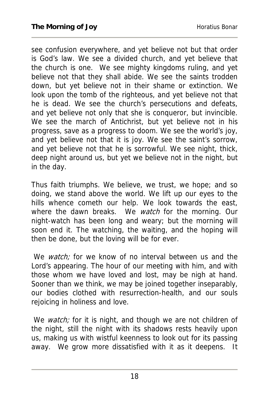see confusion everywhere, and yet believe not but that order is God's law. We see a divided church, and yet believe that the church is one. We see mighty kingdoms ruling, and yet believe not that they shall abide. We see the saints trodden down, but yet believe not in their shame or extinction. We look upon the tomb of the righteous, and yet believe not that he is dead. We see the church's persecutions and defeats, and yet believe not only that she is conqueror, but invincible. We see the march of Antichrist, but yet believe not in his progress, save as a progress to doom. We see the world's joy, and yet believe not that it is joy. We see the saint's sorrow, and yet believe not that he is sorrowful. We see night, thick, deep night around us, but yet we believe not in the night, but in the day.

Thus faith triumphs. We believe, we trust, we hope; and so doing, we stand above the world. We lift up our eyes to the hills whence cometh our help. We look towards the east, where the dawn breaks. We watch for the morning. Our night-watch has been long and weary; but the morning will soon end it. The watching, the waiting, and the hoping will then be done, but the loving will be for ever.

We *watch;* for we know of no interval between us and the Lord's appearing. The hour of our meeting with him, and with those whom we have loved and lost, may be nigh at hand. Sooner than we think, we may be joined together inseparably, our bodies clothed with resurrection-health, and our souls rejoicing in holiness and love.

We watch; for it is night, and though we are not children of the night, still the night with its shadows rests heavily upon us, making us with wistful keenness to look out for its passing away. We grow more dissatisfied with it as it deepens. It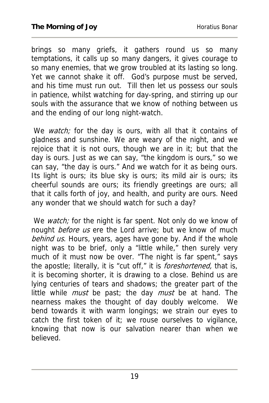brings so many griefs, it gathers round us so many temptations, it calls up so many dangers, it gives courage to so many enemies, that we grow troubled at its lasting so long. Yet we cannot shake it off. God's purpose must be served, and his time must run out. Till then let us possess our souls in patience, whilst watching for day-spring, and stirring up our souls with the assurance that we know of nothing between us and the ending of our long night-watch.

We watch; for the day is ours, with all that it contains of gladness and sunshine. We are weary of the night, and we rejoice that it is not ours, though we are in it; but that the day is ours. Just as we can say, "the kingdom is ours," so we can say, "the day is ours." And we watch for it as being ours. Its light is ours; its blue sky is ours; its mild air is ours; its cheerful sounds are ours; its friendly greetings are ours; all that it calls forth of joy, and health, and purity are ours. Need any wonder that we should watch for such a day?

We watch; for the night is far spent. Not only do we know of nought *before us* ere the Lord arrive; but we know of much behind us. Hours, years, ages have gone by. And if the whole night was to be brief, only a "little while," then surely very much of it must now be over. "The night is far spent," says the apostle; literally, it is "cut off," it is *foreshortened*, that is, it is becoming shorter, it is drawing to a close. Behind us are lying centuries of tears and shadows; the greater part of the little while *must* be past; the day *must* be at hand. The nearness makes the thought of day doubly welcome. We bend towards it with warm longings; we strain our eyes to catch the first token of it; we rouse ourselves to vigilance, knowing that now is our salvation nearer than when we believed.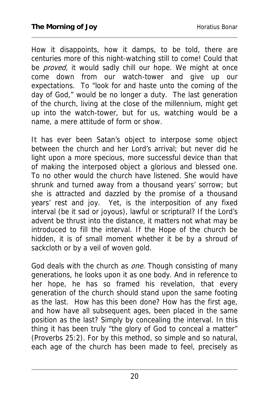How it disappoints, how it damps, to be told, there are centuries more of this night-watching still to come! Could that be *proved*, it would sadly chill our hope. We might at once come down from our watch-tower and give up our expectations. To "look for and haste unto the coming of the day of God," would be no longer a duty. The last generation of the church, living at the close of the millennium, might get up into the watch-tower, but for us, watching would be a name, a mere attitude of form or show.

It has ever been Satan's object to interpose some object between the church and her Lord's arrival; but never did he light upon a more specious, more successful device than that of making the interposed object a glorious and blessed one. To no other would the church have listened. She would have shrunk and turned away from a thousand years' sorrow; but she is attracted and dazzled by the promise of a thousand years' rest and joy. Yet, is the interposition of any fixed interval (be it sad or joyous), lawful or scriptural? If the Lord's advent be thrust into the distance, it matters not what may be introduced to fill the interval. If the Hope of the church be hidden, it is of small moment whether it be by a shroud of sackcloth or by a veil of woven gold.

God deals with the church as *one*. Though consisting of many generations, he looks upon it as one body. And in reference to her hope, he has so framed his revelation, that every generation of the church should stand upon the same footing as the last. How has this been done? How has the first age, and how have all subsequent ages, been placed in the same position as the last? Simply by concealing the interval. In this thing it has been truly "the glory of God to conceal a matter" (Proverbs 25:2). For by this method, so simple and so natural, each age of the church has been made to feel, precisely as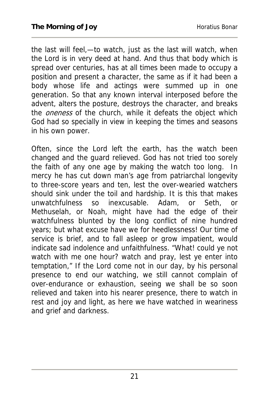the last will feel,—to watch, just as the last will watch, when the Lord is in very deed at hand. And thus that body which is spread over centuries, has at all times been made to occupy a position and present a character, the same as if it had been a body whose life and actings were summed up in one generation. So that any known interval interposed before the advent, alters the posture, destroys the character, and breaks the *oneness* of the church, while it defeats the object which God had so specially in view in keeping the times and seasons in his own power.

Often, since the Lord left the earth, has the watch been changed and the guard relieved. God has not tried too sorely the faith of any one age by making the watch too long. In mercy he has cut down man's age from patriarchal longevity to three-score years and ten, lest the over-wearied watchers should sink under the toil and hardship. It is this that makes unwatchfulness so inexcusable. Adam, or Seth, or Methuselah, or Noah, might have had the edge of their watchfulness blunted by the long conflict of nine hundred years; but what excuse have we for heedlessness! Our time of service is brief, and to fall asleep or grow impatient, would indicate sad indolence and unfaithfulness. "What! could ye not watch with me one hour? watch and pray, lest ye enter into temptation," If the Lord come not in our day, by his personal presence to end our watching, we still cannot complain of over-endurance or exhaustion, seeing we shall be so soon relieved and taken into his nearer presence, there to watch in rest and joy and light, as here we have watched in weariness and grief and darkness.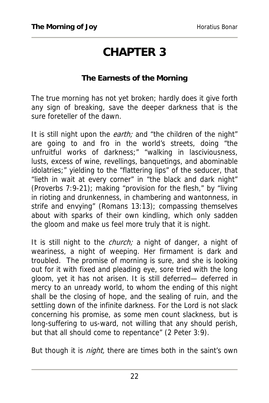## **CHAPTER 3**

#### **The Earnests of the Morning**

The true morning has not yet broken; hardly does it give forth any sign of breaking, save the deeper darkness that is the sure foreteller of the dawn.

It is still night upon the earth; and "the children of the night" are going to and fro in the world's streets, doing "the unfruitful works of darkness;" "walking in lasciviousness, lusts, excess of wine, revellings, banquetings, and abominable idolatries;" yielding to the "flattering lips" of the seducer, that "lieth in wait at every corner" in "the black and dark night" (Proverbs 7:9-21); making "provision for the flesh," by "living in rioting and drunkenness, in chambering and wantonness, in strife and envying" (Romans 13:13); compassing themselves about with sparks of their own kindling, which only sadden the gloom and make us feel more truly that it is night.

It is still night to the *church;* a night of danger, a night of weariness, a night of weeping. Her firmament is dark and troubled. The promise of morning is sure, and she is looking out for it with fixed and pleading eye, sore tried with the long gloom, yet it has not arisen. It is still deferred— deferred in mercy to an unready world, to whom the ending of this night shall be the closing of hope, and the sealing of ruin, and the settling down of the infinite darkness. For the Lord is not slack concerning his promise, as some men count slackness, but is long-suffering to us-ward, not willing that any should perish, but that all should come to repentance" (2 Peter 3:9).

But though it is *night*, there are times both in the saint's own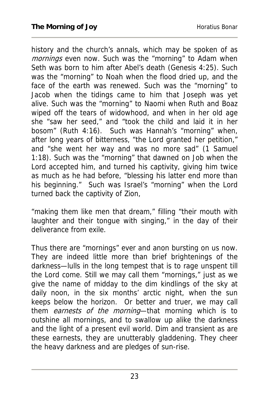history and the church's annals, which may be spoken of as mornings even now. Such was the "morning" to Adam when Seth was born to him after Abel's death (Genesis 4:25). Such was the "morning" to Noah when the flood dried up, and the face of the earth was renewed. Such was the "morning" to Jacob when the tidings came to him that Joseph was yet alive. Such was the "morning" to Naomi when Ruth and Boaz wiped off the tears of widowhood, and when in her old age she "saw her seed," and "took the child and laid it in her bosom" (Ruth 4:16). Such was Hannah's "morning" when, after long years of bitterness, "the Lord granted her petition," and "she went her way and was no more sad" (1 Samuel 1:18). Such was the "morning" that dawned on Job when the Lord accepted him, and turned his captivity, giving him twice as much as he had before, "blessing his latter end more than his beginning." Such was Israel's "morning" when the Lord turned back the captivity of Zion,

"making them like men that dream," filling "their mouth with laughter and their tongue with singing," in the day of their deliverance from exile.

Thus there are "mornings" ever and anon bursting on us now. They are indeed little more than brief brightenings of the darkness—lulls in the long tempest that is to rage unspent till the Lord come. Still we may call them "mornings," just as we give the name of midday to the dim kindlings of the sky at daily noon, in the six months' arctic night, when the sun keeps below the horizon. Or better and truer, we may call them *earnests of the morning*—that morning which is to outshine all mornings, and to swallow up alike the darkness and the light of a present evil world. Dim and transient as are these earnests, they are unutterably gladdening. They cheer the heavy darkness and are pledges of sun-rise.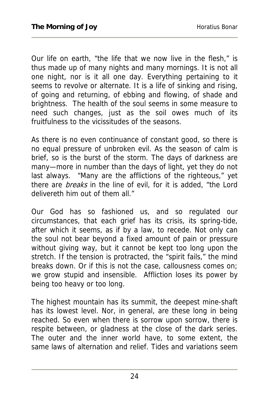Our life on earth, "the life that we now live in the flesh," is thus made up of many nights and many mornings. It is not all one night, nor is it all one day. Everything pertaining to it seems to revolve or alternate. It is a life of sinking and rising, of going and returning, of ebbing and flowing, of shade and brightness. The health of the soul seems in some measure to need such changes, just as the soil owes much of its fruitfulness to the vicissitudes of the seasons.

As there is no even continuance of constant good, so there is no equal pressure of unbroken evil. As the season of calm is brief, so is the burst of the storm. The days of darkness are many—more in number than the days of light, yet they do not last always. "Many are the afflictions of the righteous," yet there are *breaks* in the line of evil, for it is added, "the Lord delivereth him out of them all."

Our God has so fashioned us, and so regulated our circumstances, that each grief has its crisis, its spring-tide, after which it seems, as if by a law, to recede. Not only can the soul not bear beyond a fixed amount of pain or pressure without giving way, but it cannot be kept too long upon the stretch. If the tension is protracted, the "spirit fails," the mind breaks down. Or if this is not the case, callousness comes on; we grow stupid and insensible. Affliction loses its power by being too heavy or too long.

The highest mountain has its summit, the deepest mine-shaft has its lowest level. Nor, in general, are these long in being reached. So even when there is sorrow upon sorrow, there is respite between, or gladness at the close of the dark series. The outer and the inner world have, to some extent, the same laws of alternation and relief. Tides and variations seem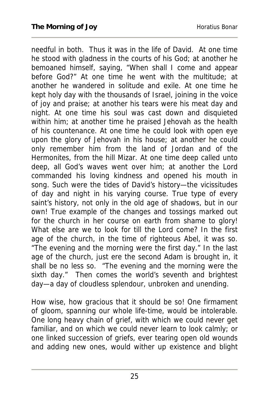needful in both. Thus it was in the life of David. At one time he stood with gladness in the courts of his God; at another he bemoaned himself, saying, "When shall I come and appear before God?" At one time he went with the multitude; at another he wandered in solitude and exile. At one time he kept holy day with the thousands of Israel, joining in the voice of joy and praise; at another his tears were his meat day and night. At one time his soul was cast down and disquieted within him; at another time he praised Jehovah as the health of his countenance. At one time he could look with open eye upon the glory of Jehovah in his house; at another he could only remember him from the land of Jordan and of the Hermonites, from the hill Mizar. At one time deep called unto deep, all God's waves went over him; at another the Lord commanded his loving kindness and opened his mouth in song. Such were the tides of David's history—the vicissitudes of day and night in his varying course. True type of every saint's history, not only in the old age of shadows, but in our own! True example of the changes and tossings marked out for the church in her course on earth from shame to glory! What else are we to look for till the Lord come? In the first age of the church, in the time of righteous Abel, it was so. "The evening and the morning were the first day." In the last age of the church, just ere the second Adam is brought in, it shall be no less so. "The evening and the morning were the sixth day." Then comes the world's seventh and brightest day—a day of cloudless splendour, unbroken and unending.

How wise, how gracious that it should be so! One firmament of gloom, spanning our whole life-time, would be intolerable. One long heavy chain of grief, with which we could never get familiar, and on which we could never learn to look calmly; or one linked succession of griefs, ever tearing open old wounds and adding new ones, would wither up existence and blight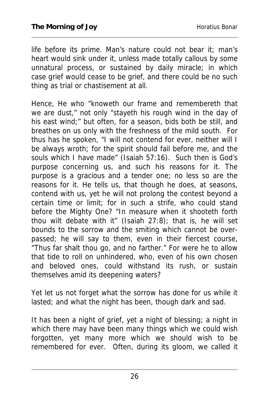life before its prime. Man's nature could not bear it; man's heart would sink under it, unless made totally callous by some unnatural process, or sustained by daily miracle; in which case grief would cease to be grief, and there could be no such thing as trial or chastisement at all.

Hence, He who "knoweth our frame and remembereth that we are dust," not only "stayeth his rough wind in the day of his east wind;" but often, for a season, bids both be still, and breathes on us only with the freshness of the mild south. For thus has he spoken, "I will not contend for ever, neither will I be always wroth; for the spirit should fail before me, and the souls which I have made" (Isaiah 57:16). Such then is God's purpose concerning us, and such his reasons for it. The purpose is a gracious and a tender one; no less so are the reasons for it. He tells us, that though he does, at seasons, contend with us, yet he will not prolong the contest beyond a certain time or limit; for in such a strife, who could stand before the Mighty One? "In measure when it shooteth forth thou wilt debate with it" (Isaiah 27:8); that is, he will set bounds to the sorrow and the smiting which cannot be overpassed; he will say to them, even in their fiercest course, "Thus far shalt thou go, and no farther." For were he to allow that tide to roll on unhindered, who, even of his own chosen and beloved ones, could withstand its rush, or sustain themselves amid its deepening waters?

Yet let us not forget what the sorrow has done for us while it lasted; and what the night has been, though dark and sad.

It has been a night of grief, yet a night of blessing; a night in which there may have been many things which we could wish forgotten, yet many more which we should wish to be remembered for ever. Often, during its gloom, we called it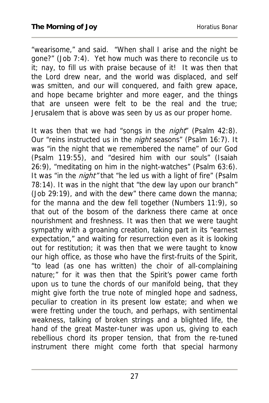"wearisome," and said. "When shall I arise and the night be gone?" (Job 7:4). Yet how much was there to reconcile us to it; nay, to fill us with praise because of it! It was then that the Lord drew near, and the world was displaced, and self was smitten, and our will conquered, and faith grew apace, and hope became brighter and more eager, and the things that are unseen were felt to be the real and the true; Jerusalem that is above was seen by us as our proper home.

It was then that we had "songs in the *night*" (Psalm 42:8). Our "reins instructed us in the *night* seasons" (Psalm 16:7). It was "in the night that we remembered the name" of our God (Psalm 119:55), and "desired him with our souls" (Isaiah 26:9), "meditating on him in the night-watches" (Psalm 63:6). It was "in the *night"* that "he led us with a light of fire" (Psalm 78:14). It was in the night that "the dew lay upon our branch" (Job 29:19), and with the dew" there came down the manna; for the manna and the dew fell together (Numbers 11:9), so that out of the bosom of the darkness there came at once nourishment and freshness. It was then that we were taught sympathy with a groaning creation, taking part in its "earnest expectation," and waiting for resurrection even as it is looking out for restitution; it was then that we were taught to know our high office, as those who have the first-fruits of the Spirit, "to lead (as one has written) the choir of all-complaining nature;" for it was then that the Spirit's power came forth upon us to tune the chords of our manifold being, that they might give forth the true note of mingled hope and sadness, peculiar to creation in its present low estate; and when we were fretting under the touch, and perhaps, with sentimental weakness, talking of broken strings and a blighted life, the hand of the great Master-tuner was upon us, giving to each rebellious chord its proper tension, that from the re-tuned instrument there might come forth that special harmony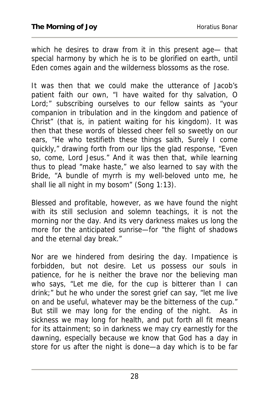which he desires to draw from it in this present age— that special harmony by which he is to be glorified on earth, until Eden comes again and the wilderness blossoms as the rose.

It was then that we could make the utterance of Jacob's patient faith our own, "I have waited for thy salvation, O Lord;" subscribing ourselves to our fellow saints as "your companion in tribulation and in the kingdom and patience of Christ" (that is, in patient waiting for his kingdom). It was then that these words of blessed cheer fell so sweetly on our ears, "He who testifieth these things saith, Surely I come quickly," drawing forth from our lips the glad response, "Even so, come, Lord Jesus." And it was then that, while learning thus to plead "make haste," we also learned to say with the Bride, "A bundle of myrrh is my well-beloved unto me, he shall lie all night in my bosom" (Song 1:13).

Blessed and profitable, however, as we have found the night with its still seclusion and solemn teachings, it is not the morning nor the day. And its very darkness makes us long the more for the anticipated sunrise—for "the flight of shadows and the eternal day break."

Nor are we hindered from desiring the day. Impatience is forbidden, but not desire. Let us possess our souls in patience, for he is neither the brave nor the believing man who says, "Let me die, for the cup is bitterer than I can drink;" but he who under the sorest grief can say, "let me live on and be useful, whatever may be the bitterness of the cup." But still we may long for the ending of the night. As in sickness we may long for health, and put forth all fit means for its attainment; so in darkness we may cry earnestly for the dawning, especially because we know that God has a day in store for us after the night is done—a day which is to be far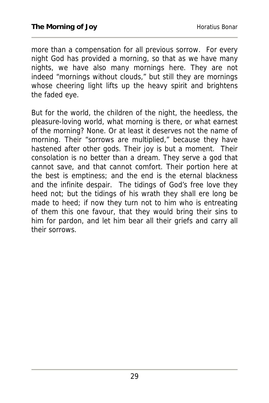more than a compensation for all previous sorrow. For every night God has provided a morning, so that as we have many nights, we have also many mornings here. They are not indeed "mornings without clouds," but still they are mornings whose cheering light lifts up the heavy spirit and brightens the faded eye.

But for the world, the children of the night, the heedless, the pleasure-loving world, what morning is there, or what earnest of the morning? None. Or at least it deserves not the name of morning. Their "sorrows are multiplied," because they have hastened after other gods. Their joy is but a moment. Their consolation is no better than a dream. They serve a god that cannot save, and that cannot comfort. Their portion here at the best is emptiness; and the end is the eternal blackness and the infinite despair. The tidings of God's free love they heed not; but the tidings of his wrath they shall ere long be made to heed; if now they turn not to him who is entreating of them this one favour, that they would bring their sins to him for pardon, and let him bear all their griefs and carry all their sorrows.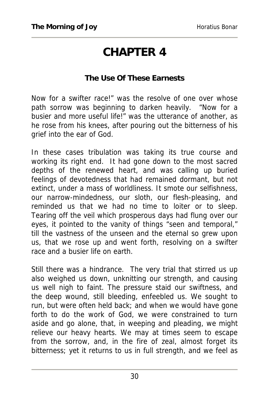## **CHAPTER 4**

#### **The Use Of These Earnests**

Now for a swifter race!" was the resolve of one over whose path sorrow was beginning to darken heavily. "Now for a busier and more useful life!" was the utterance of another, as he rose from his knees, after pouring out the bitterness of his grief into the ear of God.

In these cases tribulation was taking its true course and working its right end. It had gone down to the most sacred depths of the renewed heart, and was calling up buried feelings of devotedness that had remained dormant, but not extinct, under a mass of worldliness. It smote our selfishness, our narrow-mindedness, our sloth, our flesh-pleasing, and reminded us that we had no time to loiter or to sleep. Tearing off the veil which prosperous days had flung over our eyes, it pointed to the vanity of things "seen and temporal," till the vastness of the unseen and the eternal so grew upon us, that we rose up and went forth, resolving on a swifter race and a busier life on earth.

Still there was a hindrance. The very trial that stirred us up also weighed us down, unknitting our strength, and causing us well nigh to faint. The pressure staid our swiftness, and the deep wound, still bleeding, enfeebled us. We sought to run, but were often held back; and when we would have gone forth to do the work of God, we were constrained to turn aside and go alone, that, in weeping and pleading, we might relieve our heavy hearts. We may at times seem to escape from the sorrow, and, in the fire of zeal, almost forget its bitterness; yet it returns to us in full strength, and we feel as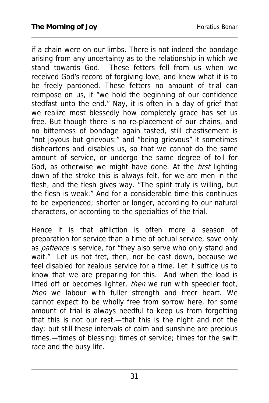if a chain were on our limbs. There is not indeed the bondage arising from any uncertainty as to the relationship in which we stand towards God. These fetters fell from us when we received God's record of forgiving love, and knew what it is to be freely pardoned. These fetters no amount of trial can reimpose on us, if "we hold the beginning of our confidence stedfast unto the end." Nay, it is often in a day of grief that we realize most blessedly how completely grace has set us free. But though there is no re-placement of our chains, and no bitterness of bondage again tasted, still chastisement is "not joyous but grievous:" and "being grievous" it sometimes disheartens and disables us, so that we cannot do the same amount of service, or undergo the same degree of toil for God, as otherwise we might have done. At the *first* lighting down of the stroke this is always felt, for we are men in the flesh, and the flesh gives way. "The spirit truly is willing, but the flesh is weak." And for a considerable time this continues to be experienced; shorter or longer, according to our natural characters, or according to the specialties of the trial.

Hence it is that affliction is often more a season of preparation for service than a time of actual service, save only as *patience* is service, for "they also serve who only stand and wait." Let us not fret, then, nor be cast down, because we feel disabled for zealous service for a time. Let it suffice us to know that we are preparing for this. And when the load is lifted off or becomes lighter, *then* we run with speedier foot, then we labour with fuller strength and freer heart. We cannot expect to be wholly free from sorrow here, for some amount of trial is always needful to keep us from forgetting that this is not our rest,—that this is the night and not the day; but still these intervals of calm and sunshine are precious times,—times of blessing; times of service; times for the swift race and the busy life.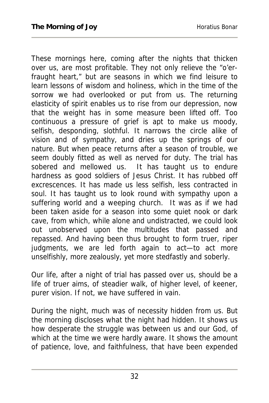These mornings here, coming after the nights that thicken over us, are most profitable. They not only relieve the "o'erfraught heart," but are seasons in which we find leisure to learn lessons of wisdom and holiness, which in the time of the sorrow we had overlooked or put from us. The returning elasticity of spirit enables us to rise from our depression, now that the weight has in some measure been lifted off. Too continuous a pressure of grief is apt to make us moody, selfish, desponding, slothful. It narrows the circle alike of vision and of sympathy, and dries up the springs of our nature. But when peace returns after a season of trouble, we seem doubly fitted as well as nerved for duty. The trial has sobered and mellowed us. It has taught us to endure hardness as good soldiers of Jesus Christ. It has rubbed off excrescences. It has made us less selfish, less contracted in soul. It has taught us to look round with sympathy upon a suffering world and a weeping church. It was as if we had been taken aside for a season into some quiet nook or dark cave, from which, while alone and undistracted, we could look out unobserved upon the multitudes that passed and repassed. And having been thus brought to form truer, riper judgments, we are led forth again to act—to act more unselfishly, more zealously, yet more stedfastly and soberly.

Our life, after a night of trial has passed over us, should be a life of truer aims, of steadier walk, of higher level, of keener, purer vision. If not, we have suffered in vain.

During the night, much was of necessity hidden from us. But the morning discloses what the night had hidden. It shows us how desperate the struggle was between us and our God, of which at the time we were hardly aware. It shows the amount of patience, love, and faithfulness, that have been expended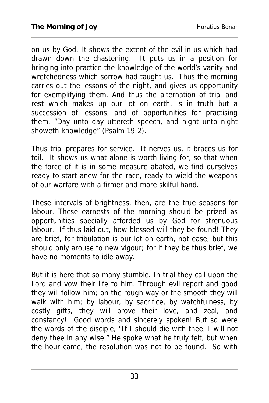on us by God. It shows the extent of the evil in us which had drawn down the chastening. It puts us in a position for bringing into practice the knowledge of the world's vanity and wretchedness which sorrow had taught us. Thus the morning carries out the lessons of the night, and gives us opportunity for exemplifying them. And thus the alternation of trial and rest which makes up our lot on earth, is in truth but a succession of lessons, and of opportunities for practising them. "Day unto day uttereth speech, and night unto night showeth knowledge" (Psalm 19:2).

Thus trial prepares for service. It nerves us, it braces us for toil. It shows us what alone is worth living for, so that when the force of it is in some measure abated, we find ourselves ready to start anew for the race, ready to wield the weapons of our warfare with a firmer and more skilful hand.

These intervals of brightness, then, are the true seasons for labour. These earnests of the morning should be prized as opportunities specially afforded us by God for strenuous labour. If thus laid out, how blessed will they be found! They are brief, for tribulation is our lot on earth, not ease; but this should only arouse to new vigour; for if they be thus brief, we have no moments to idle away.

But it is here that so many stumble. In trial they call upon the Lord and vow their life to him. Through evil report and good they will follow him; on the rough way or the smooth they will walk with him; by labour, by sacrifice, by watchfulness, by costly gifts, they will prove their love, and zeal, and constancy! Good words and sincerely spoken! But so were the words of the disciple, "If I should die with thee, I will not deny thee in any wise." He spoke what he truly felt, but when the hour came, the resolution was not to be found. So with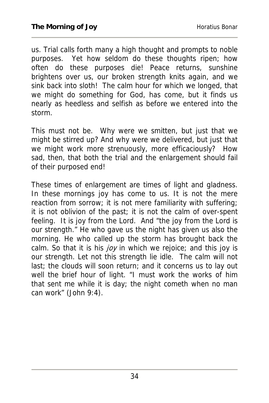us. Trial calls forth many a high thought and prompts to noble purposes. Yet how seldom do these thoughts ripen; how often do these purposes die! Peace returns, sunshine brightens over us, our broken strength knits again, and we sink back into sloth! The calm hour for which we longed, that we might do something for God, has come, but it finds us nearly as heedless and selfish as before we entered into the storm.

This must not be. Why were we smitten, but just that we might be stirred up? And why were we delivered, but just that we might work more strenuously, more efficaciously? How sad, then, that both the trial and the enlargement should fail of their purposed end!

These times of enlargement are times of light and gladness. In these mornings joy has come to us. It is not the mere reaction from sorrow; it is not mere familiarity with suffering; it is not oblivion of the past; it is not the calm of over-spent feeling. It is joy from the Lord. And "the joy from the Lord is our strength." He who gave us the night has given us also the morning. He who called up the storm has brought back the calm. So that it is his  $joy$  in which we rejoice; and this joy is our strength. Let not this strength lie idle. The calm will not last; the clouds will soon return; and it concerns us to lay out well the brief hour of light. "I must work the works of him that sent me while it is day; the night cometh when no man can work" (John 9:4).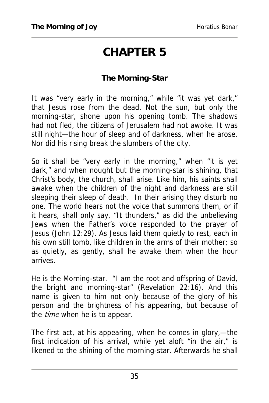## **CHAPTER 5**

#### **The Morning-Star**

It was "very early in the morning," while "it was yet dark," that Jesus rose from the dead. Not the sun, but only the morning-star, shone upon his opening tomb. The shadows had not fled, the citizens of Jerusalem had not awoke. It was still night—the hour of sleep and of darkness, when he arose. Nor did his rising break the slumbers of the city.

So it shall be "very early in the morning," when "it is yet dark," and when nought but the morning-star is shining, that Christ's body, the church, shall arise. Like him, his saints shall awake when the children of the night and darkness are still sleeping their sleep of death. In their arising they disturb no one. The world hears not the voice that summons them, or if it hears, shall only say, "It thunders," as did the unbelieving Jews when the Father's voice responded to the prayer of Jesus (John 12:29). As Jesus laid them quietly to rest, each in his own still tomb, like children in the arms of their mother; so as quietly, as gently, shall he awake them when the hour arrives.

He is the Morning-star. "I am the root and offspring of David, the bright and morning-star" (Revelation 22:16). And this name is given to him not only because of the glory of his person and the brightness of his appearing, but because of the *time* when he is to appear.

The first act, at his appearing, when he comes in glory,—the first indication of his arrival, while yet aloft "in the air," is likened to the shining of the morning-star. Afterwards he shall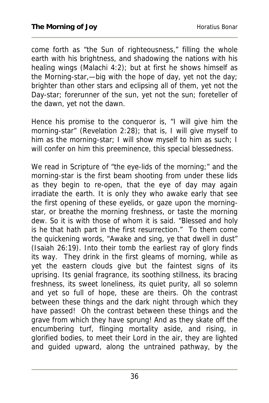come forth as "the Sun of righteousness," filling the whole earth with his brightness, and shadowing the nations with his healing wings (Malachi 4:2); but at first he shows himself as the Morning-star,—big with the hope of day, yet not the day; brighter than other stars and eclipsing all of them, yet not the Day-star; forerunner of the sun, yet not the sun; foreteller of the dawn, yet not the dawn.

Hence his promise to the conqueror is, "I will give him the morning-star" (Revelation 2:28); that is, I will give myself to him as the morning-star; I will show myself to him as such; I will confer on him this preeminence, this special blessedness.

We read in Scripture of "the eye-lids of the morning;" and the morning-star is the first beam shooting from under these lids as they begin to re-open, that the eye of day may again irradiate the earth. It is only they who awake early that see the first opening of these eyelids, or gaze upon the morningstar, or breathe the morning freshness, or taste the morning dew. So it is with those of whom it is said. "Blessed and holy is he that hath part in the first resurrection." To them come the quickening words, "Awake and sing, ye that dwell in dust" (Isaiah 26:19). Into their tomb the earliest ray of glory finds its way. They drink in the first gleams of morning, while as yet the eastern clouds give but the faintest signs of its uprising. Its genial fragrance, its soothing stillness, its bracing freshness, its sweet loneliness, its quiet purity, all so solemn and yet so full of hope, these are theirs. Oh the contrast between these things and the dark night through which they have passed! Oh the contrast between these things and the grave from which they have sprung! And as they skate off the encumbering turf, flinging mortality aside, and rising, in glorified bodies, to meet their Lord in the air, they are lighted and guided upward, along the untrained pathway, by the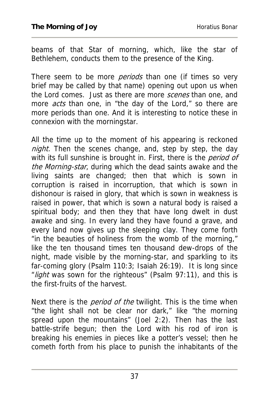beams of that Star of morning, which, like the star of Bethlehem, conducts them to the presence of the King.

There seem to be more *periods* than one (if times so very brief may be called by that name) opening out upon us when the Lord comes. Just as there are more scenes than one, and more *acts* than one, in "the day of the Lord," so there are more periods than one. And it is interesting to notice these in connexion with the morningstar.

All the time up to the moment of his appearing is reckoned night. Then the scenes change, and, step by step, the day with its full sunshine is brought in. First, there is the *period of* the Morning-star, during which the dead saints awake and the living saints are changed; then that which is sown in corruption is raised in incorruption, that which is sown in dishonour is raised in glory, that which is sown in weakness is raised in power, that which is sown a natural body is raised a spiritual body; and then they that have long dwelt in dust awake and sing. In every land they have found a grave, and every land now gives up the sleeping clay. They come forth "in the beauties of holiness from the womb of the morning," like the ten thousand times ten thousand dew-drops of the night, made visible by the morning-star, and sparkling to its far-coming glory (Psalm 110:3; Isaiah 26:19). It is long since "light was sown for the righteous" (Psalm 97:11), and this is the first-fruits of the harvest.

Next there is the *period of the* twilight. This is the time when "the light shall not be clear nor dark," like "the morning spread upon the mountains" (Joel 2:2). Then has the last battle-strife begun; then the Lord with his rod of iron is breaking his enemies in pieces like a potter's vessel; then he cometh forth from his place to punish the inhabitants of the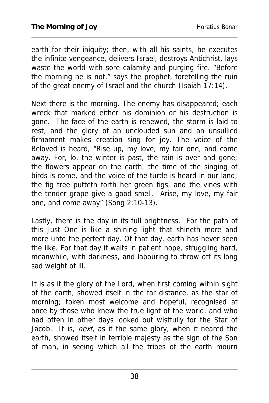earth for their iniquity; then, with all his saints, he executes the infinite vengeance, delivers Israel, destroys Antichrist, lays waste the world with sore calamity and purging fire. "Before the morning he is not," says the prophet, foretelling the ruin of the great enemy of Israel and the church (Isaiah 17:14).

Next there is the morning. The enemy has disappeared; each wreck that marked either his dominion or his destruction is gone. The face of the earth is renewed, the storm is laid to rest, and the glory of an unclouded sun and an unsullied firmament makes creation sing for joy. The voice of the Beloved is heard, "Rise up, my love, my fair one, and come away. For, lo, the winter is past, the rain is over and gone; the flowers appear on the earth; the time of the singing of birds is come, and the voice of the turtle is heard in our land; the fig tree putteth forth her green figs, and the vines with the tender grape give a good smell. Arise, my love, my fair one, and come away" (Song 2:10-13).

Lastly, there is the day in its full brightness. For the path of this Just One is like a shining light that shineth more and more unto the perfect day. Of that day, earth has never seen the like. For that day it waits in patient hope, struggling hard, meanwhile, with darkness, and labouring to throw off its long sad weight of ill.

It is as if the glory of the Lord, when first coming within sight of the earth, showed itself in the far distance, as the star of morning; token most welcome and hopeful, recognised at once by those who knew the true light of the world, and who had often in other days looked out wistfully for the Star of Jacob. It is, next, as if the same glory, when it neared the earth, showed itself in terrible majesty as the sign of the Son of man, in seeing which all the tribes of the earth mourn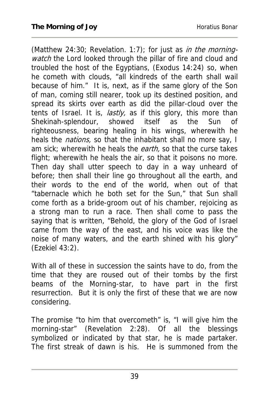(Matthew 24:30; Revelation. 1:7); for just as in the morningwatch the Lord looked through the pillar of fire and cloud and troubled the host of the Egyptians, (Exodus 14:24) so, when he cometh with clouds, "all kindreds of the earth shall wail because of him." It is, next, as if the same glory of the Son of man, coming still nearer, took up its destined position, and spread its skirts over earth as did the pillar-cloud over the tents of Israel. It is, *lastly*, as if this glory, this more than Shekinah-splendour, showed itself as the Sun of righteousness, bearing healing in his wings, wherewith he heals the *nations*, so that the inhabitant shall no more say, I am sick; wherewith he heals the *earth*, so that the curse takes flight; wherewith he heals the air, so that it poisons no more. Then day shall utter speech to day in a way unheard of before; then shall their line go throughout all the earth, and their words to the end of the world, when out of that "tabernacle which he both set for the Sun," that Sun shall come forth as a bride-groom out of his chamber, rejoicing as a strong man to run a race. Then shall come to pass the saying that is written, "Behold, the glory of the God of Israel came from the way of the east, and his voice was like the noise of many waters, and the earth shined with his glory" (Ezekiel 43:2).

With all of these in succession the saints have to do, from the time that they are roused out of their tombs by the first beams of the Morning-star, to have part in the first resurrection. But it is only the first of these that we are now considering.

The promise "to him that overcometh" is, "I will give him the morning-star" (Revelation 2:28). Of all the blessings symbolized or indicated by that star, he is made partaker. The first streak of dawn is his. He is summoned from the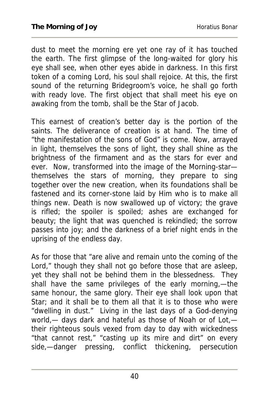dust to meet the morning ere yet one ray of it has touched the earth. The first glimpse of the long-waited for glory his eye shall see, when other eyes abide in darkness. In this first token of a coming Lord, his soul shall rejoice. At this, the first sound of the returning Bridegroom's voice, he shall go forth with ready love. The first object that shall meet his eye on awaking from the tomb, shall be the Star of Jacob.

This earnest of creation's better day is the portion of the saints. The deliverance of creation is at hand. The time of "the manifestation of the sons of God" is come. Now, arrayed in light, themselves the sons of light, they shall shine as the brightness of the firmament and as the stars for ever and ever. Now, transformed into the image of the Morning-star themselves the stars of morning, they prepare to sing together over the new creation, when its foundations shall be fastened and its corner-stone laid by Him who is to make all things new. Death is now swallowed up of victory; the grave is rifled; the spoiler is spoiled; ashes are exchanged for beauty; the light that was quenched is rekindled; the sorrow passes into joy; and the darkness of a brief night ends in the uprising of the endless day.

As for those that "are alive and remain unto the coming of the Lord," though they shall not go before those that are asleep, yet they shall not be behind them in the blessedness. They shall have the same privileges of the early morning,—the same honour, the same glory. Their eye shall look upon that Star; and it shall be to them all that it is to those who were "dwelling in dust." Living in the last days of a God-denying world,— days dark and hateful as those of Noah or of Lot, their righteous souls vexed from day to day with wickedness "that cannot rest," "casting up its mire and dirt" on every side,—danger pressing, conflict thickening, persecution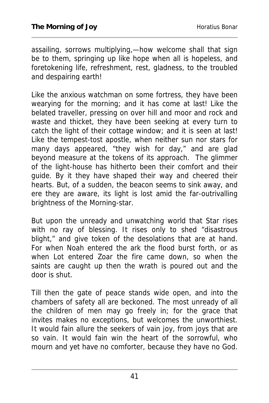assailing, sorrows multiplying,—how welcome shall that sign be to them, springing up like hope when all is hopeless, and foretokening life, refreshment, rest, gladness, to the troubled and despairing earth!

Like the anxious watchman on some fortress, they have been wearying for the morning; and it has come at last! Like the belated traveller, pressing on over hill and moor and rock and waste and thicket, they have been seeking at every turn to catch the light of their cottage window; and it is seen at last! Like the tempest-tost apostle, when neither sun nor stars for many days appeared, "they wish for day," and are glad beyond measure at the tokens of its approach. The glimmer of the light-house has hitherto been their comfort and their guide. By it they have shaped their way and cheered their hearts. But, of a sudden, the beacon seems to sink away, and ere they are aware, its light is lost amid the far-outrivalling brightness of the Morning-star.

But upon the unready and unwatching world that Star rises with no ray of blessing. It rises only to shed "disastrous blight," and give token of the desolations that are at hand. For when Noah entered the ark the flood burst forth, or as when Lot entered Zoar the fire came down, so when the saints are caught up then the wrath is poured out and the door is shut.

Till then the gate of peace stands wide open, and into the chambers of safety all are beckoned. The most unready of all the children of men may go freely in; for the grace that invites makes no exceptions, but welcomes the unworthiest. It would fain allure the seekers of vain joy, from joys that are so vain. It would fain win the heart of the sorrowful, who mourn and yet have no comforter, because they have no God.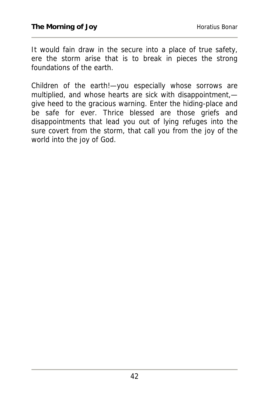It would fain draw in the secure into a place of true safety, ere the storm arise that is to break in pieces the strong foundations of the earth.

Children of the earth!—you especially whose sorrows are multiplied, and whose hearts are sick with disappointment, give heed to the gracious warning. Enter the hiding-place and be safe for ever. Thrice blessed are those griefs and disappointments that lead you out of lying refuges into the sure covert from the storm, that call you from the joy of the world into the joy of God.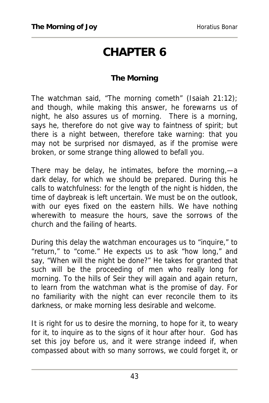# **CHAPTER 6**

#### **The Morning**

The watchman said, "The morning cometh" (Isaiah 21:12); and though, while making this answer, he forewarns us of night, he also assures us of morning. There is a morning, says he, therefore do not give way to faintness of spirit; but there is a night between, therefore take warning: that you may not be surprised nor dismayed, as if the promise were broken, or some strange thing allowed to befall you.

There may be delay, he intimates, before the morning,—a dark delay, for which we should be prepared. During this he calls to watchfulness: for the length of the night is hidden, the time of daybreak is left uncertain. We must be on the outlook, with our eyes fixed on the eastern hills. We have nothing wherewith to measure the hours, save the sorrows of the church and the failing of hearts.

During this delay the watchman encourages us to "inquire," to "return," to "come." He expects us to ask "how long," and say, "When will the night be done?" He takes for granted that such will be the proceeding of men who really long for morning. To the hills of Seir they will again and again return, to learn from the watchman what is the promise of day. For no familiarity with the night can ever reconcile them to its darkness, or make morning less desirable and welcome.

It is right for us to desire the morning, to hope for it, to weary for it, to inquire as to the signs of it hour after hour. God has set this joy before us, and it were strange indeed if, when compassed about with so many sorrows, we could forget it, or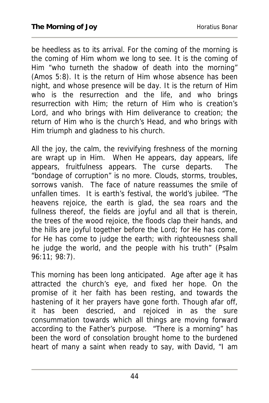be heedless as to its arrival. For the coming of the morning is the coming of Him whom we long to see. It is the coming of Him "who turneth the shadow of death into the morning" (Amos 5:8). It is the return of Him whose absence has been night, and whose presence will be day. It is the return of Him who is the resurrection and the life, and who brings resurrection with Him; the return of Him who is creation's Lord, and who brings with Him deliverance to creation; the return of Him who is the church's Head, and who brings with Him triumph and gladness to his church.

All the joy, the calm, the revivifying freshness of the morning are wrapt up in Him. When He appears, day appears, life appears, fruitfulness appears. The curse departs. The "bondage of corruption" is no more. Clouds, storms, troubles, sorrows vanish. The face of nature reassumes the smile of unfallen times. It is earth's festival, the world's jubilee. "The heavens rejoice, the earth is glad, the sea roars and the fullness thereof, the fields are joyful and all that is therein, the trees of the wood rejoice, the floods clap their hands, and the hills are joyful together before the Lord; for He has come, for He has come to judge the earth; with righteousness shall he judge the world, and the people with his truth" (Psalm 96:11; 98:7).

This morning has been long anticipated. Age after age it has attracted the church's eye, and fixed her hope. On the promise of it her faith has been resting, and towards the hastening of it her prayers have gone forth. Though afar off, it has been descried, and rejoiced in as the sure consummation towards which all things are moving forward according to the Father's purpose. "There is a morning" has been the word of consolation brought home to the burdened heart of many a saint when ready to say, with David, "I am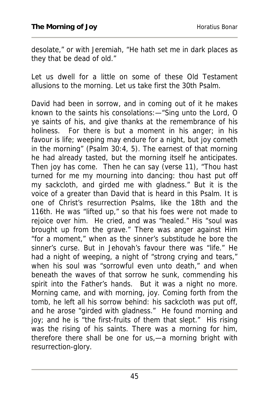desolate," or with Jeremiah, "He hath set me in dark places as they that be dead of old."

Let us dwell for a little on some of these Old Testament allusions to the morning. Let us take first the 30th Psalm.

David had been in sorrow, and in coming out of it he makes known to the saints his consolations:—"Sing unto the Lord, O ye saints of his, and give thanks at the remembrance of his holiness. For there is but a moment in his anger; in his favour is life; weeping may endure for a night, but joy cometh in the morning" (Psalm 30:4, 5). The earnest of that morning he had already tasted, but the morning itself he anticipates. Then joy has come. Then he can say (verse 11), "Thou hast turned for me my mourning into dancing: thou hast put off my sackcloth, and girded me with gladness." But it is the voice of a greater than David that is heard in this Psalm. It is one of Christ's resurrection Psalms, like the 18th and the 116th. He was "lifted up," so that his foes were not made to rejoice over him. He cried, and was "healed." His "soul was brought up from the grave." There was anger against Him "for a moment," when as the sinner's substitude he bore the sinner's curse. But in Jehovah's favour there was "life." He had a night of weeping, a night of "strong crying and tears," when his soul was "sorrowful even unto death," and when beneath the waves of that sorrow he sunk, commending his spirit into the Father's hands. But it was a night no more. Morning came, and with morning, joy. Coming forth from the tomb, he left all his sorrow behind: his sackcloth was put off, and he arose "girded with gladness." He found morning and joy; and he is "the first-fruits of them that slept." His rising was the rising of his saints. There was a morning for him, therefore there shall be one for us,—a morning bright with resurrection-glory.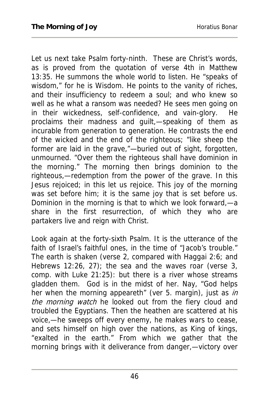Let us next take Psalm forty-ninth. These are Christ's words, as is proved from the quotation of verse 4th in Matthew 13:35. He summons the whole world to listen. He "speaks of wisdom," for he is Wisdom. He points to the vanity of riches, and their insufficiency to redeem a soul; and who knew so well as he what a ransom was needed? He sees men going on in their wickedness, self-confidence, and vain-glory. He proclaims their madness and guilt,—speaking of them as incurable from generation to generation. He contrasts the end of the wicked and the end of the righteous; "like sheep the former are laid in the grave,"—buried out of sight, forgotten, unmourned. "Over them the righteous shall have dominion in the morning." The morning then brings dominion to the righteous,—redemption from the power of the grave. In this Jesus rejoiced; in this let us rejoice. This joy of the morning was set before him; it is the same joy that is set before us. Dominion in the morning is that to which we look forward,—a share in the first resurrection, of which they who are partakers live and reign with Christ.

Look again at the forty-sixth Psalm. It is the utterance of the faith of Israel's faithful ones, in the time of "Jacob's trouble." The earth is shaken (verse 2, compared with Haggai 2:6; and Hebrews 12:26, 27); the sea and the waves roar (verse 3, comp. with Luke 21:25): but there is a river whose streams gladden them. God is in the midst of her. Nay, "God helps her when the morning appeareth" (ver 5. margin), just as in the morning watch he looked out from the fiery cloud and troubled the Egyptians. Then the heathen are scattered at his voice,—he sweeps off every enemy, he makes wars to cease, and sets himself on high over the nations, as King of kings, "exalted in the earth." From which we gather that the morning brings with it deliverance from danger,—victory over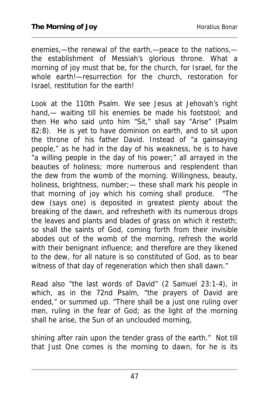enemies,—the renewal of the earth,—peace to the nations, the establishment of Messiah's glorious throne. What a morning of joy must that be, for the church, for Israel, for the whole earth!—resurrection for the church, restoration for Israel, restitution for the earth!

Look at the 110th Psalm. We see Jesus at Jehovah's right hand,— waiting till his enemies be made his footstool; and then He who said unto him "Sit," shall say "Arise" (Psalm 82:8). He is yet to have dominion on earth, and to sit upon the throne of his father David. Instead of "a gainsaying people," as he had in the day of his weakness, he is to have "a willing people in the day of his power;" all arrayed in the beauties of holiness; more numerous and resplendent than the dew from the womb of the morning. Willingness, beauty, holiness, brightness, number;— these shall mark his people in that morning of joy which his coming shall produce. "The dew (says one) is deposited in greatest plenty about the breaking of the dawn, and refresheth with its numerous drops the leaves and plants and blades of grass on which it resteth; so shall the saints of God, coming forth from their invisible abodes out of the womb of the morning, refresh the world with their benignant influence; and therefore are they likened to the dew, for all nature is so constituted of God, as to bear witness of that day of regeneration which then shall dawn."

Read also "the last words of David" (2 Samuel 23:1-4), in which, as in the 72nd Psalm, "the prayers of David are ended," or summed up. "There shall be a just one ruling over men, ruling in the fear of God; as the light of the morning shall he arise, the Sun of an unclouded morning,

shining after rain upon the tender grass of the earth." Not till that Just One comes is the morning to dawn, for he is its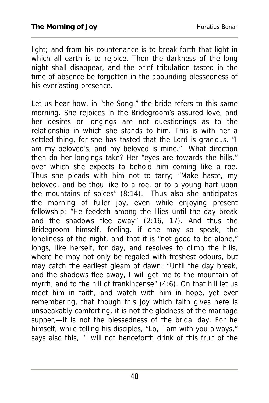light; and from his countenance is to break forth that light in which all earth is to rejoice. Then the darkness of the long night shall disappear, and the brief tribulation tasted in the time of absence be forgotten in the abounding blessedness of his everlasting presence.

Let us hear how, in "the Song," the bride refers to this same morning. She rejoices in the Bridegroom's assured love, and her desires or longings are not questionings as to the relationship in which she stands to him. This is with her a settled thing, for she has tasted that the Lord is gracious. "I am my beloved's, and my beloved is mine." What direction then do her longings take? Her "eyes are towards the hills," over which she expects to behold him coming like a roe. Thus she pleads with him not to tarry; "Make haste, my beloved, and be thou like to a roe, or to a young hart upon the mountains of spices" (8:14). Thus also she anticipates the morning of fuller joy, even while enjoying present fellowship; "He feedeth among the lilies until the day break and the shadows flee away" (2:16, 17). And thus the Bridegroom himself, feeling, if one may so speak, the loneliness of the night, and that it is "not good to be alone," longs, like herself, for day, and resolves to climb the hills, where he may not only be regaled with freshest odours, but may catch the earliest gleam of dawn: "Until the day break, and the shadows flee away, I will get me to the mountain of myrrh, and to the hill of frankincense" (4:6). On that hill let us meet him in faith, and watch with him in hope, yet ever remembering, that though this joy which faith gives here is unspeakably comforting, it is not the gladness of the marriage supper,—it is not the blessedness of the bridal day. For he himself, while telling his disciples, "Lo, I am with you always," says also this, "I will not henceforth drink of this fruit of the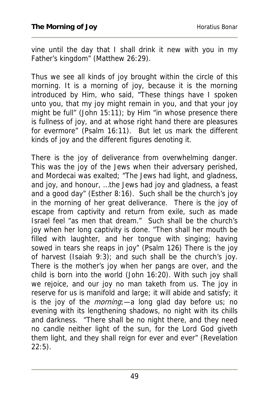vine until the day that I shall drink it new with you in my Father's kingdom" (Matthew 26:29).

Thus we see all kinds of joy brought within the circle of this morning. It is a morning of joy, because it is the morning introduced by Him, who said, "These things have I spoken unto you, that my joy might remain in you, and that your joy might be full" (John 15:11); by Him "in whose presence there is fullness of joy, and at whose right hand there are pleasures for evermore" (Psalm 16:11). But let us mark the different kinds of joy and the different figures denoting it.

There is the joy of deliverance from overwhelming danger. This was the joy of the Jews when their adversary perished, and Mordecai was exalted; "The Jews had light, and gladness, and joy, and honour, …the Jews had joy and gladness, a feast and a good day" (Esther 8:16). Such shall be the church's joy in the morning of her great deliverance. There is the joy of escape from captivity and return from exile, such as made Israel feel "as men that dream." Such shall be the church's joy when her long captivity is done. "Then shall her mouth be filled with laughter, and her tongue with singing; having sowed in tears she reaps in joy" (Psalm 126) There is the joy of harvest (Isaiah 9:3); and such shall be the church's joy. There is the mother's joy when her pangs are over, and the child is born into the world (John 16:20). With such joy shall we rejoice, and our joy no man taketh from us. The joy in reserve for us is manifold and large; it will abide and satisfy; it is the joy of the *morning*; — a long glad day before us; no evening with its lengthening shadows, no night with its chills and darkness. "There shall be no night there, and they need no candle neither light of the sun, for the Lord God giveth them light, and they shall reign for ever and ever" (Revelation  $22:5$ ).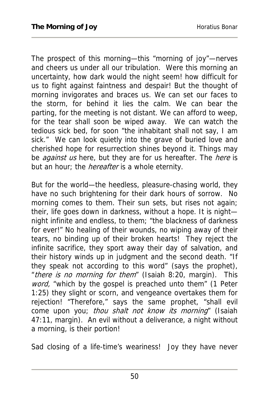The prospect of this morning—this "morning of joy"—nerves and cheers us under all our tribulation. Were this morning an uncertainty, how dark would the night seem! how difficult for us to fight against faintness and despair! But the thought of morning invigorates and braces us. We can set our faces to the storm, for behind it lies the calm. We can bear the parting, for the meeting is not distant. We can afford to weep, for the tear shall soon be wiped away. We can watch the tedious sick bed, for soon "the inhabitant shall not say, I am sick." We can look quietly into the grave of buried love and cherished hope for resurrection shines beyond it. Things may be *against us* here, but they are for us hereafter. The *here* is but an hour; the *hereafter* is a whole eternity.

But for the world—the heedless, pleasure-chasing world, they have no such brightening for their dark hours of sorrow. No morning comes to them. Their sun sets, but rises not again; their, life goes down in darkness, without a hope. It is night night infinite and endless, to them; "the blackness of darkness for ever!" No healing of their wounds, no wiping away of their tears, no binding up of their broken hearts! They reject the infinite sacrifice, they sport away their day of salvation, and their history winds up in judgment and the second death. "If they speak not according to this word" (says the prophet), "there is no morning for them" (Isaiah 8:20, margin). This word, "which by the gospel is preached unto them" (1 Peter 1:25) they slight or scorn, and vengeance overtakes them for rejection! "Therefore," says the same prophet, "shall evil come upon you; thou shalt not know its morning" (Isaiah 47:11, margin). An evil without a deliverance, a night without a morning, is their portion!

Sad closing of a life-time's weariness! Joy they have never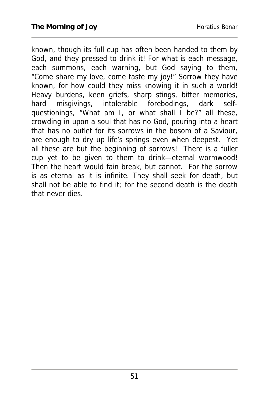known, though its full cup has often been handed to them by God, and they pressed to drink it! For what is each message, each summons, each warning, but God saying to them, "Come share my love, come taste my joy!" Sorrow they have known, for how could they miss knowing it in such a world! Heavy burdens, keen griefs, sharp stings, bitter memories, hard misgivings, intolerable forebodings, dark selfquestionings, "What am I, or what shall I be?" all these, crowding in upon a soul that has no God, pouring into a heart that has no outlet for its sorrows in the bosom of a Saviour, are enough to dry up life's springs even when deepest. Yet all these are but the beginning of sorrows! There is a fuller cup yet to be given to them to drink—eternal wormwood! Then the heart would fain break, but cannot. For the sorrow is as eternal as it is infinite. They shall seek for death, but shall not be able to find it; for the second death is the death that never dies.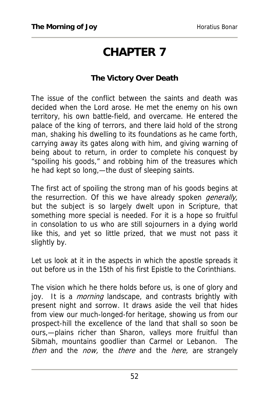## **CHAPTER 7**

### **The Victory Over Death**

The issue of the conflict between the saints and death was decided when the Lord arose. He met the enemy on his own territory, his own battle-field, and overcame. He entered the palace of the king of terrors, and there laid hold of the strong man, shaking his dwelling to its foundations as he came forth, carrying away its gates along with him, and giving warning of being about to return, in order to complete his conquest by "spoiling his goods," and robbing him of the treasures which he had kept so long,—the dust of sleeping saints.

The first act of spoiling the strong man of his goods begins at the resurrection. Of this we have already spoken *generally*, but the subject is so largely dwelt upon in Scripture, that something more special is needed. For it is a hope so fruitful in consolation to us who are still sojourners in a dying world like this, and yet so little prized, that we must not pass it slightly by.

Let us look at it in the aspects in which the apostle spreads it out before us in the 15th of his first Epistle to the Corinthians.

The vision which he there holds before us, is one of glory and joy. It is a *morning* landscape, and contrasts brightly with present night and sorrow. It draws aside the veil that hides from view our much-longed-for heritage, showing us from our prospect-hill the excellence of the land that shall so soon be ours,—plains richer than Sharon, valleys more fruitful than Sibmah, mountains goodlier than Carmel or Lebanon. The then and the now, the there and the here, are strangely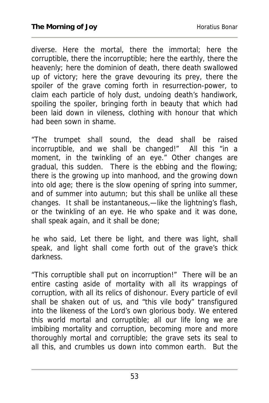diverse. Here the mortal, there the immortal; here the corruptible, there the incorruptible; here the earthly, there the heavenly; here the dominion of death, there death swallowed up of victory; here the grave devouring its prey, there the spoiler of the grave coming forth in resurrection-power, to claim each particle of holy dust, undoing death's handiwork, spoiling the spoiler, bringing forth in beauty that which had been laid down in vileness, clothing with honour that which had been sown in shame.

"The trumpet shall sound, the dead shall be raised incorruptible, and we shall be changed!" All this "in a moment, in the twinkling of an eye." Other changes are gradual, this sudden. There is the ebbing and the flowing; there is the growing up into manhood, and the growing down into old age; there is the slow opening of spring into summer, and of summer into autumn; but this shall be unlike all these changes. It shall be instantaneous,—like the lightning's flash, or the twinkling of an eye. He who spake and it was done, shall speak again, and it shall be done;

he who said, Let there be light, and there was light, shall speak, and light shall come forth out of the grave's thick darkness.

"This corruptible shall put on incorruption!" There will be an entire casting aside of mortality with all its wrappings of corruption, with all its relics of dishonour. Every particle of evil shall be shaken out of us, and "this vile body" transfigured into the likeness of the Lord's own glorious body. We entered this world mortal and corruptible; all our life long we are imbibing mortality and corruption, becoming more and more thoroughly mortal and corruptible; the grave sets its seal to all this, and crumbles us down into common earth. But the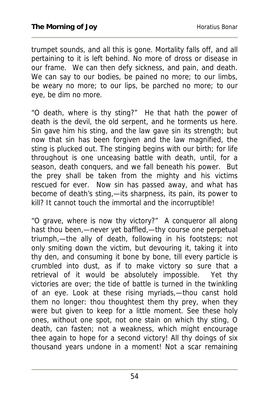trumpet sounds, and all this is gone. Mortality falls off, and all pertaining to it is left behind. No more of dross or disease in our frame. We can then defy sickness, and pain, and death. We can say to our bodies, be pained no more; to our limbs, be weary no more; to our lips, be parched no more; to our eye, be dim no more.

"O death, where is thy sting?" He that hath the power of death is the devil, the old serpent, and he torments us here. Sin gave him his sting, and the law gave sin its strength; but now that sin has been forgiven and the law magnified, the sting is plucked out. The stinging begins with our birth; for life throughout is one unceasing battle with death, until, for a season, death conquers, and we fall beneath his power. But the prey shall be taken from the mighty and his victims rescued for ever. Now sin has passed away, and what has become of death's sting,—its sharpness, its pain, its power to kill? It cannot touch the immortal and the incorruptible!

"O grave, where is now thy victory?" A conqueror all along hast thou been,—never yet baffled,—thy course one perpetual triumph,—the ally of death, following in his footsteps; not only smiting down the victim, but devouring it, taking it into thy den, and consuming it bone by bone, till every particle is crumbled into dust, as if to make victory so sure that a retrieval of it would be absolutely impossible. Yet thy victories are over; the tide of battle is turned in the twinkling of an eye. Look at these rising myriads,—thou canst hold them no longer: thou thoughtest them thy prey, when they were but given to keep for a little moment. See these holy ones, without one spot, not one stain on which thy sting, O death, can fasten; not a weakness, which might encourage thee again to hope for a second victory! All thy doings of six thousand years undone in a moment! Not a scar remaining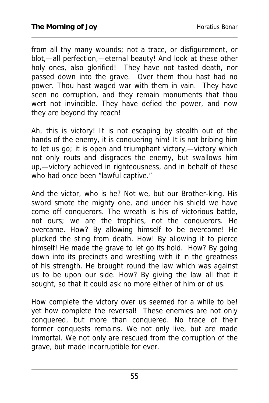from all thy many wounds; not a trace, or disfigurement, or blot,—all perfection,—eternal beauty! And look at these other holy ones, also glorified! They have not tasted death, nor passed down into the grave. Over them thou hast had no power. Thou hast waged war with them in vain. They have seen no corruption, and they remain monuments that thou wert not invincible. They have defied the power, and now they are beyond thy reach!

Ah, this is victory! It is not escaping by stealth out of the hands of the enemy, it is conquering him! It is not bribing him to let us go; it is open and triumphant victory,—victory which not only routs and disgraces the enemy, but swallows him up,—victory achieved in righteousness, and in behalf of these who had once been "lawful captive."

And the victor, who is he? Not we, but our Brother-king. His sword smote the mighty one, and under his shield we have come off conquerors. The wreath is his of victorious battle, not ours; we are the trophies, not the conquerors. He overcame. How? By allowing himself to be overcome! He plucked the sting from death. How! By allowing it to pierce himself! He made the grave to let go its hold. How? By going down into its precincts and wrestling with it in the greatness of his strength. He brought round the law which was against us to be upon our side. How? By giving the law all that it sought, so that it could ask no more either of him or of us.

How complete the victory over us seemed for a while to be! yet how complete the reversal! These enemies are not only conquered, but more than conquered. No trace of their former conquests remains. We not only live, but are made immortal. We not only are rescued from the corruption of the grave, but made incorruptible for ever.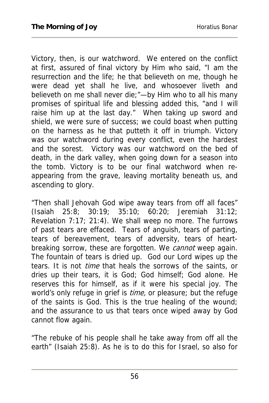Victory, then, is our watchword. We entered on the conflict at first, assured of final victory by Him who said, "I am the resurrection and the life; he that believeth on me, though he were dead yet shall he live, and whosoever liveth and believeth on me shall never die;"—by Him who to all his many promises of spiritual life and blessing added this, "and I will raise him up at the last day." When taking up sword and shield, we were sure of success; we could boast when putting on the harness as he that putteth it off in triumph. Victory was our watchword during every conflict, even the hardest and the sorest. Victory was our watchword on the bed of death, in the dark valley, when going down for a season into the tomb. Victory is to be our final watchword when reappearing from the grave, leaving mortality beneath us, and ascending to glory.

"Then shall Jehovah God wipe away tears from off all faces" (Isaiah 25:8; 30:19; 35:10; 60:20; Jeremiah 31:12; Revelation 7:17; 21:4). We shall weep no more. The furrows of past tears are effaced. Tears of anguish, tears of parting, tears of bereavement, tears of adversity, tears of heartbreaking sorrow, these are forgotten. We cannot weep again. The fountain of tears is dried up. God our Lord wipes up the tears. It is not *time* that heals the sorrows of the saints, or dries up their tears, it is God; God himself; God alone. He reserves this for himself, as if it were his special joy. The world's only refuge in grief is *time*, or pleasure; but the refuge of the saints is God. This is the true healing of the wound; and the assurance to us that tears once wiped away by God cannot flow again.

"The rebuke of his people shall he take away from off all the earth" (Isaiah 25:8). As he is to do this for Israel, so also for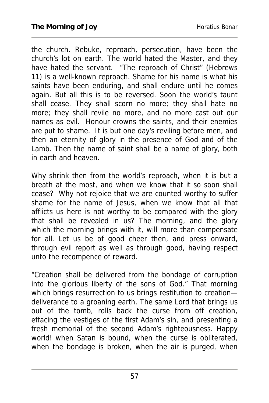the church. Rebuke, reproach, persecution, have been the church's lot on earth. The world hated the Master, and they have hated the servant. "The reproach of Christ" (Hebrews 11) is a well-known reproach. Shame for his name is what his saints have been enduring, and shall endure until he comes again. But all this is to be reversed. Soon the world's taunt shall cease. They shall scorn no more; they shall hate no more; they shall revile no more, and no more cast out our names as evil. Honour crowns the saints, and their enemies are put to shame. It is but one day's reviling before men, and then an eternity of glory in the presence of God and of the Lamb. Then the name of saint shall be a name of glory, both in earth and heaven.

Why shrink then from the world's reproach, when it is but a breath at the most, and when we know that it so soon shall cease? Why not rejoice that we are counted worthy to suffer shame for the name of Jesus, when we know that all that afflicts us here is not worthy to be compared with the glory that shall be revealed in us? The morning, and the glory which the morning brings with it, will more than compensate for all. Let us be of good cheer then, and press onward, through evil report as well as through good, having respect unto the recompence of reward.

"Creation shall be delivered from the bondage of corruption into the glorious liberty of the sons of God." That morning which brings resurrection to us brings restitution to creation deliverance to a groaning earth. The same Lord that brings us out of the tomb, rolls back the curse from off creation, effacing the vestiges of the first Adam's sin, and presenting a fresh memorial of the second Adam's righteousness. Happy world! when Satan is bound, when the curse is obliterated, when the bondage is broken, when the air is purged, when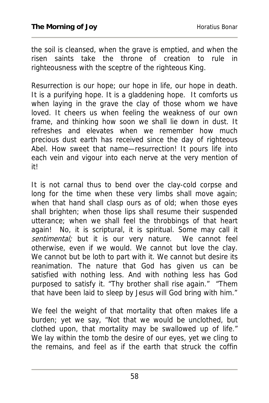the soil is cleansed, when the grave is emptied, and when the risen saints take the throne of creation to rule in righteousness with the sceptre of the righteous King.

Resurrection is our hope; our hope in life, our hope in death. It is a purifying hope. It is a gladdening hope. It comforts us when laying in the grave the clay of those whom we have loved. It cheers us when feeling the weakness of our own frame, and thinking how soon we shall lie down in dust. It refreshes and elevates when we remember how much precious dust earth has received since the day of righteous Abel. How sweet that name—resurrection! It pours life into each vein and vigour into each nerve at the very mention of it!

It is not carnal thus to bend over the clay-cold corpse and long for the time when these very limbs shall move again; when that hand shall clasp ours as of old; when those eyes shall brighten; when those lips shall resume their suspended utterance; when we shall feel the throbbings of that heart again! No, it is scriptural, it is spiritual. Some may call it sentimental; but it is our very nature. We cannot feel otherwise, even if we would. We cannot but love the clay. We cannot but be loth to part with it. We cannot but desire its reanimation. The nature that God has given us can be satisfied with nothing less. And with nothing less has God purposed to satisfy it. "Thy brother shall rise again." "Them that have been laid to sleep by Jesus will God bring with him."

We feel the weight of that mortality that often makes life a burden; yet we say, "Not that we would be unclothed, but clothed upon, that mortality may be swallowed up of life." We lay within the tomb the desire of our eyes, yet we cling to the remains, and feel as if the earth that struck the coffin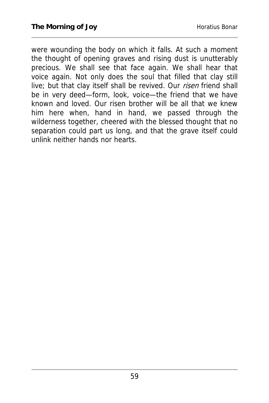were wounding the body on which it falls. At such a moment the thought of opening graves and rising dust is unutterably precious. We shall see that face again. We shall hear that voice again. Not only does the soul that filled that clay still live; but that clay itself shall be revived. Our *risen* friend shall be in very deed—form, look, voice—the friend that we have known and loved. Our risen brother will be all that we knew him here when, hand in hand, we passed through the wilderness together, cheered with the blessed thought that no separation could part us long, and that the grave itself could unlink neither hands nor hearts.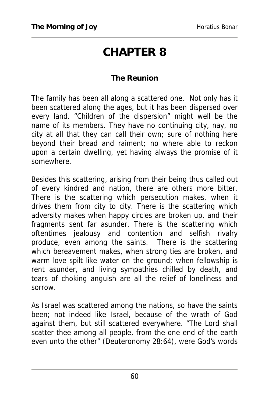# **CHAPTER 8**

#### **The Reunion**

The family has been all along a scattered one. Not only has it been scattered along the ages, but it has been dispersed over every land. "Children of the dispersion" might well be the name of its members. They have no continuing city, nay, no city at all that they can call their own; sure of nothing here beyond their bread and raiment; no where able to reckon upon a certain dwelling, yet having always the promise of it somewhere.

Besides this scattering, arising from their being thus called out of every kindred and nation, there are others more bitter. There is the scattering which persecution makes, when it drives them from city to city. There is the scattering which adversity makes when happy circles are broken up, and their fragments sent far asunder. There is the scattering which oftentimes jealousy and contention and selfish rivalry produce, even among the saints. There is the scattering which bereavement makes, when strong ties are broken, and warm love spilt like water on the ground; when fellowship is rent asunder, and living sympathies chilled by death, and tears of choking anguish are all the relief of loneliness and sorrow.

As Israel was scattered among the nations, so have the saints been; not indeed like Israel, because of the wrath of God against them, but still scattered everywhere. "The Lord shall scatter thee among all people, from the one end of the earth even unto the other" (Deuteronomy 28:64), were God's words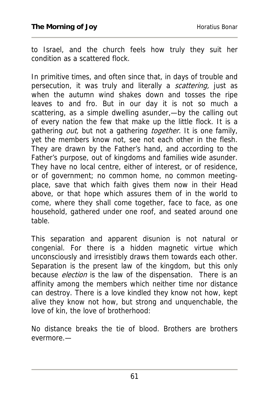to Israel, and the church feels how truly they suit her condition as a scattered flock.

In primitive times, and often since that, in days of trouble and persecution, it was truly and literally a *scattering*, just as when the autumn wind shakes down and tosses the ripe leaves to and fro. But in our day it is not so much a scattering, as a simple dwelling asunder,—by the calling out of every nation the few that make up the little flock. It is a gathering *out*, but not a gathering *together*. It is one family, yet the members know not, see not each other in the flesh. They are drawn by the Father's hand, and according to the Father's purpose, out of kingdoms and families wide asunder. They have no local centre, either of interest, or of residence, or of government; no common home, no common meetingplace, save that which faith gives them now in their Head above, or that hope which assures them of in the world to come, where they shall come together, face to face, as one household, gathered under one roof, and seated around one table.

This separation and apparent disunion is not natural or congenial. For there is a hidden magnetic virtue which unconsciously and irresistibly draws them towards each other. Separation is the present law of the kingdom, but this only because *election* is the law of the dispensation. There is an affinity among the members which neither time nor distance can destroy. There is a love kindled they know not how, kept alive they know not how, but strong and unquenchable, the love of kin, the love of brotherhood:

No distance breaks the tie of blood. Brothers are brothers evermore.—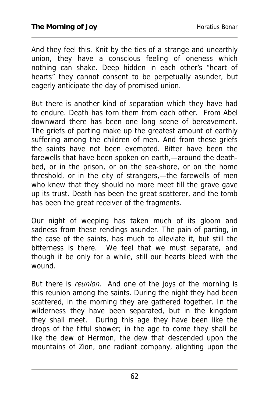And they feel this. Knit by the ties of a strange and unearthly union, they have a conscious feeling of oneness which nothing can shake. Deep hidden in each other's "heart of hearts" they cannot consent to be perpetually asunder, but eagerly anticipate the day of promised union.

But there is another kind of separation which they have had to endure. Death has torn them from each other. From Abel downward there has been one long scene of bereavement. The griefs of parting make up the greatest amount of earthly suffering among the children of men. And from these griefs the saints have not been exempted. Bitter have been the farewells that have been spoken on earth,—around the deathbed, or in the prison, or on the sea-shore, or on the home threshold, or in the city of strangers,—the farewells of men who knew that they should no more meet till the grave gave up its trust. Death has been the great scatterer, and the tomb has been the great receiver of the fragments.

Our night of weeping has taken much of its gloom and sadness from these rendings asunder. The pain of parting, in the case of the saints, has much to alleviate it, but still the bitterness is there. We feel that we must separate, and though it be only for a while, still our hearts bleed with the wound.

But there is *reunion*. And one of the joys of the morning is this reunion among the saints. During the night they had been scattered, in the morning they are gathered together. In the wilderness they have been separated, but in the kingdom they shall meet. During this age they have been like the drops of the fitful shower; in the age to come they shall be like the dew of Hermon, the dew that descended upon the mountains of Zion, one radiant company, alighting upon the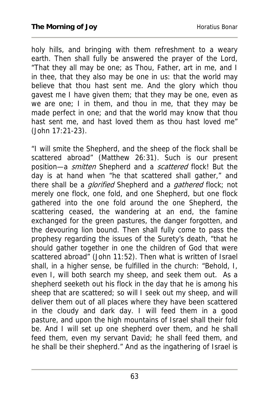holy hills, and bringing with them refreshment to a weary earth. Then shall fully be answered the prayer of the Lord, "That they all may be one; as Thou, Father, art in me, and I in thee, that they also may be one in us: that the world may believe that thou hast sent me. And the glory which thou gavest me I have given them; that they may be one, even as we are one; I in them, and thou in me, that they may be made perfect in one; and that the world may know that thou hast sent me, and hast loved them as thou hast loved me" (John 17:21-23).

"I will smite the Shepherd, and the sheep of the flock shall be scattered abroad" (Matthew 26:31). Such is our present position-a smitten Shepherd and a scattered flock! But the day is at hand when "he that scattered shall gather," and there shall be a *glorified* Shepherd and a *gathered* flock; not merely one flock, one fold, and one Shepherd, but one flock gathered into the one fold around the one Shepherd, the scattering ceased, the wandering at an end, the famine exchanged for the green pastures, the danger forgotten, and the devouring lion bound. Then shall fully come to pass the prophesy regarding the issues of the Surety's death, "that he should gather together in one the children of God that were scattered abroad" (John 11:52). Then what is written of Israel shall, in a higher sense, be fulfilled in the church: "Behold, I, even I, will both search my sheep, and seek them out. As a shepherd seeketh out his flock in the day that he is among his sheep that are scattered; so will I seek out my sheep, and will deliver them out of all places where they have been scattered in the cloudy and dark day. I will feed them in a good pasture, and upon the high mountains of Israel shall their fold be. And I will set up one shepherd over them, and he shall feed them, even my servant David; he shall feed them, and he shall be their shepherd." And as the ingathering of Israel is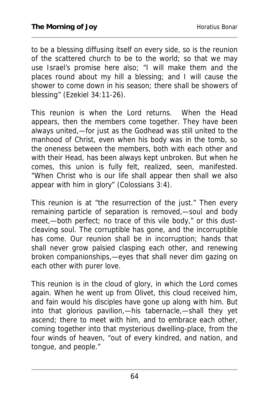to be a blessing diffusing itself on every side, so is the reunion of the scattered church to be to the world; so that we may use Israel's promise here also; "I will make them and the places round about my hill a blessing; and I will cause the shower to come down in his season; there shall be showers of blessing" (Ezekiel 34:11-26).

This reunion is when the Lord returns. When the Head appears, then the members come together. They have been always united,—for just as the Godhead was still united to the manhood of Christ, even when his body was in the tomb, so the oneness between the members, both with each other and with their Head, has been always kept unbroken. But when he comes, this union is fully felt, realized, seen, manifested. "When Christ who is our life shall appear then shall we also appear with him in glory" (Colossians 3:4).

This reunion is at "the resurrection of the just." Then every remaining particle of separation is removed,—soul and body meet,—both perfect; no trace of this vile body," or this dustcleaving soul. The corruptible has gone, and the incorruptible has come. Our reunion shall be in incorruption; hands that shall never grow palsied clasping each other, and renewing broken companionships,—eyes that shall never dim gazing on each other with purer love.

This reunion is in the cloud of glory, in which the Lord comes again. When he went up from Olivet, this cloud received him, and fain would his disciples have gone up along with him. But into that glorious pavilion,—his tabernacle,—shall they yet ascend; there to meet with him, and to embrace each other, coming together into that mysterious dwelling-place, from the four winds of heaven, "out of every kindred, and nation, and tongue, and people."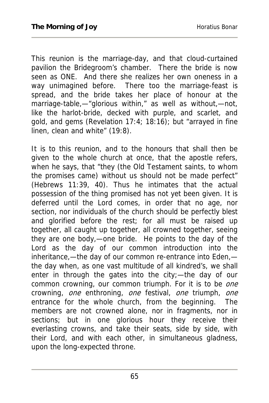This reunion is the marriage-day, and that cloud-curtained pavilion the Bridegroom's chamber. There the bride is now seen as ONE. And there she realizes her own oneness in a way unimagined before. There too the marriage-feast is spread, and the bride takes her place of honour at the marriage-table,—"glorious within," as well as without,—not, like the harlot-bride, decked with purple, and scarlet, and gold, and gems (Revelation 17:4; 18:16); but "arrayed in fine linen, clean and white" (19:8).

It is to this reunion, and to the honours that shall then be given to the whole church at once, that the apostle refers, when he says, that "they (the Old Testament saints, to whom the promises came) without us should not be made perfect" (Hebrews 11:39, 40). Thus he intimates that the actual possession of the thing promised has not yet been given. It is deferred until the Lord comes, in order that no age, nor section, nor individuals of the church should be perfectly blest and glorified before the rest; for all must be raised up together, all caught up together, all crowned together, seeing they are one body,—one bride. He points to the day of the Lord as the day of our common introduction into the inheritance,—the day of our common re-entrance into Eden, the day when, as one vast multitude of all kindred's, we shall enter in through the gates into the city;—the day of our common crowning, our common triumph. For it is to be one crowning, one enthroning, one festival, one triumph, one entrance for the whole church, from the beginning. The members are not crowned alone, nor in fragments, nor in sections; but in one glorious hour they receive their everlasting crowns, and take their seats, side by side, with their Lord, and with each other, in simultaneous gladness, upon the long-expected throne.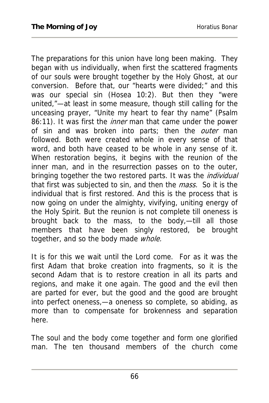The preparations for this union have long been making. They began with us individually, when first the scattered fragments of our souls were brought together by the Holy Ghost, at our conversion. Before that, our "hearts were divided;" and this was our special sin (Hosea 10:2). But then they "were united,"—at least in some measure, though still calling for the unceasing prayer, "Unite my heart to fear thy name" (Psalm 86:11). It was first the *inner* man that came under the power of sin and was broken into parts; then the outer man followed. Both were created whole in every sense of that word, and both have ceased to be whole in any sense of it. When restoration begins, it begins with the reunion of the inner man, and in the resurrection passes on to the outer, bringing together the two restored parts. It was the *individual* that first was subjected to sin, and then the *mass*. So it is the individual that is first restored. And this is the process that is now going on under the almighty, vivifying, uniting energy of the Holy Spirit. But the reunion is not complete till oneness is brought back to the mass, to the body,—till all those members that have been singly restored, be brought together, and so the body made whole.

It is for this we wait until the Lord come. For as it was the first Adam that broke creation into fragments, so it is the second Adam that is to restore creation in all its parts and regions, and make it one again. The good and the evil then are parted for ever, but the good and the good are brought into perfect oneness,—a oneness so complete, so abiding, as more than to compensate for brokenness and separation here.

The soul and the body come together and form one glorified man. The ten thousand members of the church come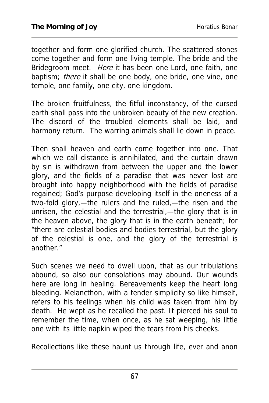together and form one glorified church. The scattered stones come together and form one living temple. The bride and the Bridegroom meet. Here it has been one Lord, one faith, one baptism; *there* it shall be one body, one bride, one vine, one temple, one family, one city, one kingdom.

The broken fruitfulness, the fitful inconstancy, of the cursed earth shall pass into the unbroken beauty of the new creation. The discord of the troubled elements shall be laid, and harmony return. The warring animals shall lie down in peace.

Then shall heaven and earth come together into one. That which we call distance is annihilated, and the curtain drawn by sin is withdrawn from between the upper and the lower glory, and the fields of a paradise that was never lost are brought into happy neighborhood with the fields of paradise regained; God's purpose developing itself in the oneness of a two-fold glory,—the rulers and the ruled,—the risen and the unrisen, the celestial and the terrestrial,—the glory that is in the heaven above, the glory that is in the earth beneath; for "there are celestial bodies and bodies terrestrial, but the glory of the celestial is one, and the glory of the terrestrial is another."

Such scenes we need to dwell upon, that as our tribulations abound, so also our consolations may abound. Our wounds here are long in healing. Bereavements keep the heart long bleeding. Melancthon, with a tender simplicity so like himself, refers to his feelings when his child was taken from him by death. He wept as he recalled the past. It pierced his soul to remember the time, when once, as he sat weeping, his little one with its little napkin wiped the tears from his cheeks.

Recollections like these haunt us through life, ever and anon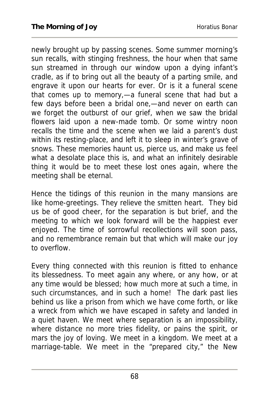newly brought up by passing scenes. Some summer morning's sun recalls, with stinging freshness, the hour when that same sun streamed in through our window upon a dying infant's cradle, as if to bring out all the beauty of a parting smile, and engrave it upon our hearts for ever. Or is it a funeral scene that comes up to memory,—a funeral scene that had but a few days before been a bridal one,—and never on earth can we forget the outburst of our grief, when we saw the bridal flowers laid upon a new-made tomb. Or some wintry noon recalls the time and the scene when we laid a parent's dust within its resting-place, and left it to sleep in winter's grave of snows. These memories haunt us, pierce us, and make us feel what a desolate place this is, and what an infinitely desirable thing it would be to meet these lost ones again, where the meeting shall be eternal.

Hence the tidings of this reunion in the many mansions are like home-greetings. They relieve the smitten heart. They bid us be of good cheer, for the separation is but brief, and the meeting to which we look forward will be the happiest ever enjoyed. The time of sorrowful recollections will soon pass, and no remembrance remain but that which will make our joy to overflow.

Every thing connected with this reunion is fitted to enhance its blessedness. To meet again any where, or any how, or at any time would be blessed; how much more at such a time, in such circumstances, and in such a home! The dark past lies behind us like a prison from which we have come forth, or like a wreck from which we have escaped in safety and landed in a quiet haven. We meet where separation is an impossibility, where distance no more tries fidelity, or pains the spirit, or mars the joy of loving. We meet in a kingdom. We meet at a marriage-table. We meet in the "prepared city," the New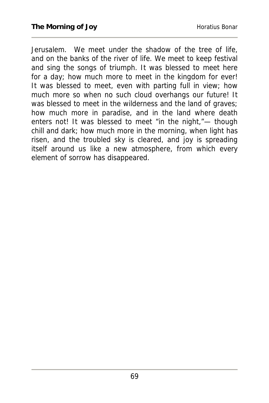Jerusalem. We meet under the shadow of the tree of life, and on the banks of the river of life. We meet to keep festival and sing the songs of triumph. It was blessed to meet here for a day; how much more to meet in the kingdom for ever! It was blessed to meet, even with parting full in view; how much more so when no such cloud overhangs our future! It was blessed to meet in the wilderness and the land of graves; how much more in paradise, and in the land where death enters not! It was blessed to meet "in the night,"— though chill and dark; how much more in the morning, when light has risen, and the troubled sky is cleared, and joy is spreading itself around us like a new atmosphere, from which every element of sorrow has disappeared.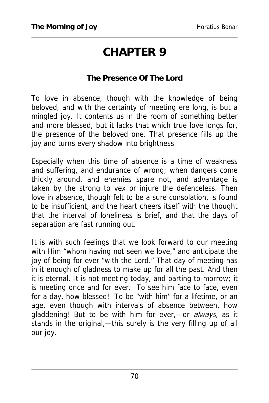## **CHAPTER 9**

### **The Presence Of The Lord**

To love in absence, though with the knowledge of being beloved, and with the certainty of meeting ere long, is but a mingled joy. It contents us in the room of something better and more blessed, but it lacks that which true love longs for, the presence of the beloved one. That presence fills up the joy and turns every shadow into brightness.

Especially when this time of absence is a time of weakness and suffering, and endurance of wrong; when dangers come thickly around, and enemies spare not, and advantage is taken by the strong to vex or injure the defenceless. Then love in absence, though felt to be a sure consolation, is found to be insufficient, and the heart cheers itself with the thought that the interval of loneliness is brief, and that the days of separation are fast running out.

It is with such feelings that we look forward to our meeting with Him "whom having not seen we love," and anticipate the joy of being for ever "with the Lord." That day of meeting has in it enough of gladness to make up for all the past. And then it is eternal. It is not meeting today, and parting to-morrow; it is meeting once and for ever. To see him face to face, even for a day, how blessed! To be "with him" for a lifetime, or an age, even though with intervals of absence between, how gladdening! But to be with him for ever,—or *always*, as it stands in the original,—this surely is the very filling up of all our joy.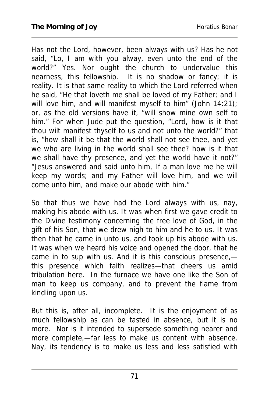Has not the Lord, however, been always with us? Has he not said, "Lo, I am with you alway, even unto the end of the world?" Yes. Nor ought the church to undervalue this nearness, this fellowship. It is no shadow or fancy; it is reality. It is that same reality to which the Lord referred when he said, "He that loveth me shall be loved of my Father; and I will love him, and will manifest myself to him" (John 14:21); or, as the old versions have it, "will show mine own self to him." For when Jude put the question, "Lord, how is it that thou wilt manifest thyself to us and not unto the world?" that is, "how shall it be that the world shall not see thee, and yet we who are living in the world shall see thee? how is it that we shall have thy presence, and yet the world have it not?" "Jesus answered and said unto him, If a man love me he will keep my words; and my Father will love him, and we will come unto him, and make our abode with him."

So that thus we have had the Lord always with us, nay, making his abode with us. It was when first we gave credit to the Divine testimony concerning the free love of God, in the gift of his Son, that we drew nigh to him and he to us. It was then that he came in unto us, and took up his abode with us. It was when we heard his voice and opened the door, that he came in to sup with us. And it is this conscious presence, this presence which faith realizes—that cheers us amid tribulation here. In the furnace we have one like the Son of man to keep us company, and to prevent the flame from kindling upon us.

But this is, after all, incomplete. It is the enjoyment of as much fellowship as can be tasted in absence, but it is no more. Nor is it intended to supersede something nearer and more complete,—far less to make us content with absence. Nay, its tendency is to make us less and less satisfied with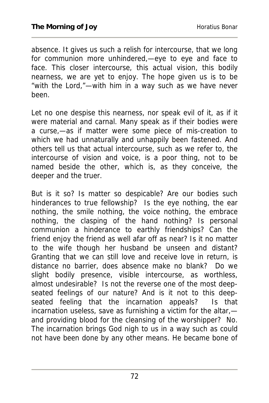absence. It gives us such a relish for intercourse, that we long for communion more unhindered,—eye to eye and face to face. This closer intercourse, this actual vision, this bodily nearness, we are yet to enjoy. The hope given us is to be "with the Lord,"—with him in a way such as we have never been.

Let no one despise this nearness, nor speak evil of it, as if it were material and carnal. Many speak as if their bodies were a curse,—as if matter were some piece of mis-creation to which we had unnaturally and unhappily been fastened. And others tell us that actual intercourse, such as we refer to, the intercourse of vision and voice, is a poor thing, not to be named beside the other, which is, as they conceive, the deeper and the truer.

But is it so? Is matter so despicable? Are our bodies such hinderances to true fellowship? Is the eye nothing, the ear nothing, the smile nothing, the voice nothing, the embrace nothing, the clasping of the hand nothing? Is personal communion a hinderance to earthly friendships? Can the friend enjoy the friend as well afar off as near? Is it no matter to the wife though her husband be unseen and distant? Granting that we can still love and receive love in return, is distance no barrier, does absence make no blank? Do we slight bodily presence, visible intercourse, as worthless, almost undesirable? Is not the reverse one of the most deepseated feelings of our nature? And is it not to this deepseated feeling that the incarnation appeals? Is that incarnation useless, save as furnishing a victim for the altar, and providing blood for the cleansing of the worshipper? No. The incarnation brings God nigh to us in a way such as could not have been done by any other means. He became bone of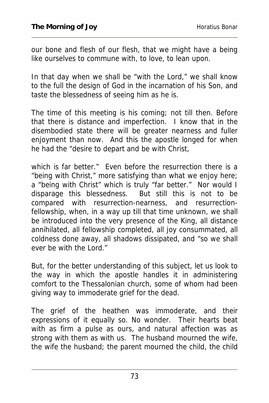our bone and flesh of our flesh, that we might have a being like ourselves to commune with, to love, to lean upon.

In that day when we shall be "with the Lord," we shall know to the full the design of God in the incarnation of his Son, and taste the blessedness of seeing him as he is.

The time of this meeting is his coming; not till then. Before that there is distance and imperfection. I know that in the disembodied state there will be greater nearness and fuller enjoyment than now. And this the apostle longed for when he had the "desire to depart and be with Christ,

which is far better." Even before the resurrection there is a "being with Christ," more satisfying than what we enjoy here; a "being with Christ" which is truly "far better." Nor would I disparage this blessedness. But still this is not to be compared with resurrection-nearness, and resurrectionfellowship, when, in a way up till that time unknown, we shall be introduced into the very presence of the King, all distance annihilated, all fellowship completed, all joy consummated, all coldness done away, all shadows dissipated, and "so we shall ever be with the Lord."

But, for the better understanding of this subject, let us look to the way in which the apostle handles it in administering comfort to the Thessalonian church, some of whom had been giving way to immoderate grief for the dead.

The grief of the heathen was immoderate, and their expressions of it equally so. No wonder. Their hearts beat with as firm a pulse as ours, and natural affection was as strong with them as with us. The husband mourned the wife, the wife the husband; the parent mourned the child, the child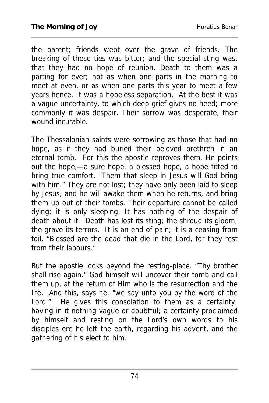the parent; friends wept over the grave of friends. The breaking of these ties was bitter; and the special sting was, that they had no hope of reunion. Death to them was a parting for ever; not as when one parts in the morning to meet at even, or as when one parts this year to meet a few years hence. It was a hopeless separation. At the best it was a vague uncertainty, to which deep grief gives no heed; more commonly it was despair. Their sorrow was desperate, their wound incurable.

The Thessalonian saints were sorrowing as those that had no hope, as if they had buried their beloved brethren in an eternal tomb. For this the apostle reproves them. He points out the hope,—a sure hope, a blessed hope, a hope fitted to bring true comfort. "Them that sleep in Jesus will God bring with him." They are not lost; they have only been laid to sleep by Jesus, and he will awake them when he returns, and bring them up out of their tombs. Their departure cannot be called dying; it is only sleeping. It has nothing of the despair of death about it. Death has lost its sting; the shroud its gloom; the grave its terrors. It is an end of pain; it is a ceasing from toil. "Blessed are the dead that die in the Lord, for they rest from their labours."

But the apostle looks beyond the resting-place. "Thy brother shall rise again." God himself will uncover their tomb and call them up, at the return of Him who is the resurrection and the life. And this, says he, "we say unto you by the word of the Lord." He gives this consolation to them as a certainty; having in it nothing vague or doubtful; a certainty proclaimed by himself and resting on the Lord's own words to his disciples ere he left the earth, regarding his advent, and the gathering of his elect to him.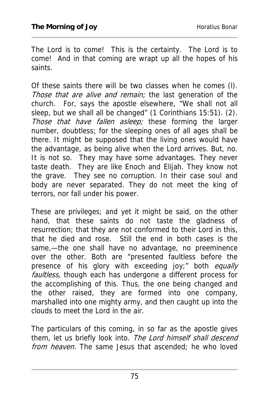The Lord is to come! This is the certainty. The Lord is to come! And in that coming are wrapt up all the hopes of his saints.

Of these saints there will be two classes when he comes (l). Those that are alive and remain; the last generation of the church. For, says the apostle elsewhere, "We shall not all sleep, but we shall all be changed" (1 Corinthians 15:51). (2). Those that have fallen asleep; these forming the larger number, doubtless; for the sleeping ones of all ages shall be there. It might be supposed that the living ones would have the advantage, as being alive when the Lord arrives. But, no. It is not so. They may have some advantages. They never taste death. They are like Enoch and Elijah. They know not the grave. They see no corruption. In their case soul and body are never separated. They do not meet the king of terrors, nor fall under his power.

These are privileges; and yet it might be said, on the other hand, that these saints do not taste the gladness of resurrection; that they are not conformed to their Lord in this, that he died and rose. Still the end in both cases is the same,—the one shall have no advantage, no preeminence over the other. Both are "presented faultless before the presence of his glory with exceeding joy;" both equally faultless, though each has undergone a different process for the accomplishing of this. Thus, the one being changed and the other raised, they are formed into one company, marshalled into one mighty army, and then caught up into the clouds to meet the Lord in the air.

The particulars of this coming, in so far as the apostle gives them, let us briefly look into. The Lord himself shall descend from heaven. The same Jesus that ascended; he who loved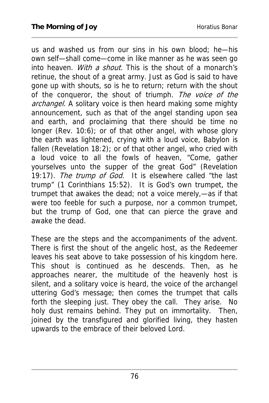us and washed us from our sins in his own blood; he—his own self—shall come—come in like manner as he was seen go into heaven. *With a shout*. This is the shout of a monarch's retinue, the shout of a great army. Just as God is said to have gone up with shouts, so is he to return; return with the shout of the conqueror, the shout of triumph. The voice of the archangel. A solitary voice is then heard making some mighty announcement, such as that of the angel standing upon sea and earth, and proclaiming that there should be time no longer (Rev. 10:6); or of that other angel, with whose glory the earth was lightened, crying with a loud voice, Babylon is fallen (Revelation 18:2); or of that other angel, who cried with a loud voice to all the fowls of heaven, "Come, gather yourselves unto the supper of the great God" (Revelation 19:17). The trump of God. It is elsewhere called "the last trump" (1 Corinthians 15:52). It is God's own trumpet, the trumpet that awakes the dead; not a voice merely,—as if that were too feeble for such a purpose, nor a common trumpet, but the trump of God, one that can pierce the grave and awake the dead.

These are the steps and the accompaniments of the advent. There is first the shout of the angelic host, as the Redeemer leaves his seat above to take possession of his kingdom here. This shout is continued as he descends. Then, as he approaches nearer, the multitude of the heavenly host is silent, and a solitary voice is heard, the voice of the archangel uttering God's message; then comes the trumpet that calls forth the sleeping just. They obey the call. They arise. No holy dust remains behind. They put on immortality. Then, joined by the transfigured and glorified living, they hasten upwards to the embrace of their beloved Lord.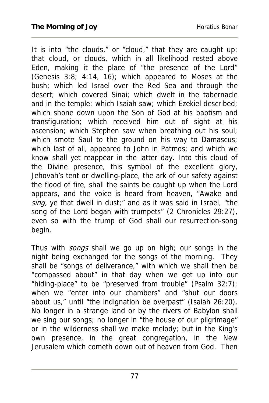It is into "the clouds," or "cloud," that they are caught up; that cloud, or clouds, which in all likelihood rested above Eden, making it the place of "the presence of the Lord" (Genesis 3:8; 4:14, 16); which appeared to Moses at the bush; which led Israel over the Red Sea and through the desert; which covered Sinai; which dwelt in the tabernacle and in the temple; which Isaiah saw; which Ezekiel described; which shone down upon the Son of God at his baptism and transfiguration; which received him out of sight at his ascension; which Stephen saw when breathing out his soul; which smote Saul to the ground on his way to Damascus; which last of all, appeared to John in Patmos; and which we know shall yet reappear in the latter day. Into this cloud of the Divine presence, this symbol of the excellent glory, Jehovah's tent or dwelling-place, the ark of our safety against the flood of fire, shall the saints be caught up when the Lord appears, and the voice is heard from heaven, "Awake and sing, ye that dwell in dust;" and as it was said in Israel, "the song of the Lord began with trumpets" (2 Chronicles 29:27), even so with the trump of God shall our resurrection-song begin.

Thus with *songs* shall we go up on high; our songs in the night being exchanged for the songs of the morning. They shall be "songs of deliverance," with which we shall then be "compassed about" in that day when we get up into our "hiding-place" to be "preserved from trouble" (Psalm 32:7); when we "enter into our chambers" and "shut our doors about us," until "the indignation be overpast" (Isaiah 26:20). No longer in a strange land or by the rivers of Babylon shall we sing our songs; no longer in "the house of our pilgrimage" or in the wilderness shall we make melody; but in the King's own presence, in the great congregation, in the New Jerusalem which cometh down out of heaven from God. Then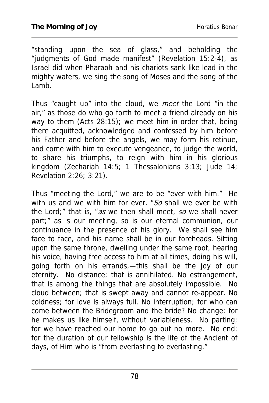"standing upon the sea of glass," and beholding the "judgments of God made manifest" (Revelation 15:2-4), as Israel did when Pharaoh and his chariots sank like lead in the mighty waters, we sing the song of Moses and the song of the Lamb.

Thus "caught up" into the cloud, we *meet* the Lord "in the air," as those do who go forth to meet a friend already on his way to them (Acts 28:15); we meet him in order that, being there acquitted, acknowledged and confessed by him before his Father and before the angels, we may form his retinue, and come with him to execute vengeance, to judge the world, to share his triumphs, to reign with him in his glorious kingdom (Zechariah 14:5; 1 Thessalonians 3:13; Jude 14; Revelation 2:26; 3:21).

Thus "meeting the Lord," we are to be "ever with him." He with us and we with him for ever. "So shall we ever be with the Lord;" that is, "as we then shall meet, so we shall never part;" as is our meeting, so is our eternal communion, our continuance in the presence of his glory. We shall see him face to face, and his name shall be in our foreheads. Sitting upon the same throne, dwelling under the same roof, hearing his voice, having free access to him at all times, doing his will, going forth on his errands,—this shall be the joy of our eternity. No distance; that is annihilated. No estrangement, that is among the things that are absolutely impossible. No cloud between; that is swept away and cannot re-appear. No coldness; for love is always full. No interruption; for who can come between the Bridegroom and the bride? No change; for he makes us like himself, without variableness. No parting; for we have reached our home to go out no more. No end; for the duration of our fellowship is the life of the Ancient of days, of Him who is "from everlasting to everlasting."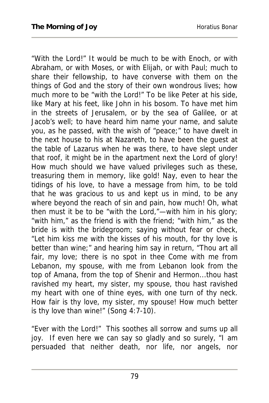"With the Lord!" It would be much to be with Enoch, or with Abraham, or with Moses, or with Elijah, or with Paul; much to share their fellowship, to have converse with them on the things of God and the story of their own wondrous lives; how much more to be "with the Lord!" To be like Peter at his side, like Mary at his feet, like John in his bosom. To have met him in the streets of Jerusalem, or by the sea of Galilee, or at Jacob's well; to have heard him name your name, and salute you, as he passed, with the wish of "peace;" to have dwelt in the next house to his at Nazareth, to have been the guest at the table of Lazarus when he was there, to have slept under that roof, it might be in the apartment next the Lord of glory! How much should we have valued privileges such as these, treasuring them in memory, like gold! Nay, even to hear the tidings of his love, to have a message from him, to be told that he was gracious to us and kept us in mind, to be any where beyond the reach of sin and pain, how much! Oh, what then must it be to be "with the Lord,"—with him in his glory; "with him," as the friend is with the friend; "with him," as the bride is with the bridegroom; saying without fear or check, "Let him kiss me with the kisses of his mouth, for thy love is better than wine;" and hearing him say in return, "Thou art all fair, my love; there is no spot in thee Come with me from Lebanon, my spouse, with me from Lebanon look from the top of Amana, from the top of Shenir and Hermon...thou hast ravished my heart, my sister, my spouse, thou hast ravished my heart with one of thine eyes, with one turn of thy neck. How fair is thy love, my sister, my spouse! How much better is thy love than wine!" (Song 4:7-10).

"Ever with the Lord!" This soothes all sorrow and sums up all joy. If even here we can say so gladly and so surely, "I am persuaded that neither death, nor life, nor angels, nor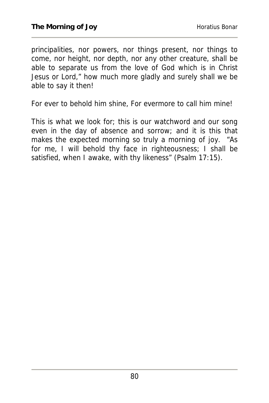principalities, nor powers, nor things present, nor things to come, nor height, nor depth, nor any other creature, shall be able to separate us from the love of God which is in Christ Jesus or Lord," how much more gladly and surely shall we be able to say it then!

For ever to behold him shine, For evermore to call him mine!

This is what we look for; this is our watchword and our song even in the day of absence and sorrow; and it is this that makes the expected morning so truly a morning of joy. "As for me, I will behold thy face in righteousness; I shall be satisfied, when I awake, with thy likeness" (Psalm 17:15).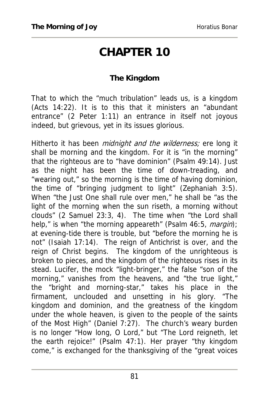# **CHAPTER 10**

#### **The Kingdom**

That to which the "much tribulation" leads us, is a kingdom (Acts 14:22). It is to this that it ministers an "abundant entrance" (2 Peter 1:11) an entrance in itself not joyous indeed, but grievous, yet in its issues glorious.

Hitherto it has been *midnight and the wilderness;* ere long it shall be morning and the kingdom. For it is "in the morning" that the righteous are to "have dominion" (Psalm 49:14). Just as the night has been the time of down-treading, and "wearing out," so the morning is the time of having dominion, the time of "bringing judgment to light" (Zephaniah 3:5). When "the Just One shall rule over men," he shall be "as the light of the morning when the sun riseth, a morning without clouds" (2 Samuel 23:3, 4). The time when "the Lord shall help," is when "the morning appeareth" (Psalm 46:5, *margin*); at evening-tide there is trouble, but "before the morning he is not" (Isaiah 17:14). The reign of Antichrist is over, and the reign of Christ begins. The kingdom of the unrighteous is broken to pieces, and the kingdom of the righteous rises in its stead. Lucifer, the mock "light-bringer," the false "son of the morning," vanishes from the heavens, and "the true light," the "bright and morning-star," takes his place in the firmament, unclouded and unsetting in his glory. "The kingdom and dominion, and the greatness of the kingdom under the whole heaven, is given to the people of the saints of the Most High" (Daniel  $7:27$ ). The church's weary burden is no longer "How long, O Lord," but "The Lord reigneth, let the earth rejoice!" (Psalm 47:1). Her prayer "thy kingdom come," is exchanged for the thanksgiving of the "great voices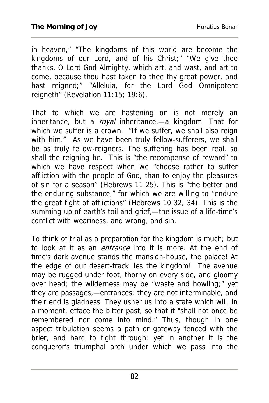in heaven," "The kingdoms of this world are become the kingdoms of our Lord, and of his Christ;" "We give thee thanks, O Lord God Almighty, which art, and wast, and art to come, because thou hast taken to thee thy great power, and hast reigned;" "Alleluia, for the Lord God Omnipotent reigneth" (Revelation 11:15; 19:6).

That to which we are hastening on is not merely an inheritance, but a royal inheritance,—a kingdom. That for which we suffer is a crown. "If we suffer, we shall also reign with him." As we have been truly fellow-sufferers, we shall be as truly fellow-reigners. The suffering has been real, so shall the reigning be. This is "the recompense of reward" to which we have respect when we "choose rather to suffer affliction with the people of God, than to enjoy the pleasures of sin for a season" (Hebrews 11:25). This is "the better and the enduring substance," for which we are willing to "endure the great fight of afflictions" (Hebrews 10:32, 34). This is the summing up of earth's toil and grief,—the issue of a life-time's conflict with weariness, and wrong, and sin.

To think of trial as a preparation for the kingdom is much; but to look at it as an *entrance* into it is more. At the end of time's dark avenue stands the mansion-house, the palace! At the edge of our desert-track lies the kingdom! The avenue may be rugged under foot, thorny on every side, and gloomy over head; the wilderness may be "waste and howling;" yet they are passages,—entrances; they are not interminable, and their end is gladness. They usher us into a state which will, in a moment, efface the bitter past, so that it "shall not once be remembered nor come into mind." Thus, though in one aspect tribulation seems a path or gateway fenced with the brier, and hard to fight through; yet in another it is the conqueror's triumphal arch under which we pass into the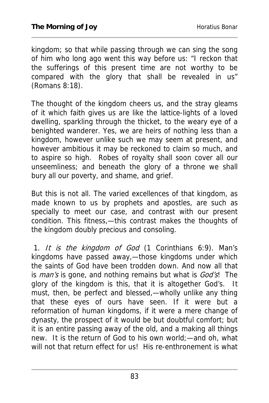kingdom; so that while passing through we can sing the song of him who long ago went this way before us: "I reckon that the sufferings of this present time are not worthy to be compared with the glory that shall be revealed in us" (Romans 8:18).

The thought of the kingdom cheers us, and the stray gleams of it which faith gives us are like the lattice-lights of a loved dwelling, sparkling through the thicket, to the weary eye of a benighted wanderer. Yes, we are heirs of nothing less than a kingdom, however unlike such we may seem at present, and however ambitious it may be reckoned to claim so much, and to aspire so high. Robes of royalty shall soon cover all our unseemliness; and beneath the glory of a throne we shall bury all our poverty, and shame, and grief.

But this is not all. The varied excellences of that kingdom, as made known to us by prophets and apostles, are such as specially to meet our case, and contrast with our present condition. This fitness,—this contrast makes the thoughts of the kingdom doubly precious and consoling.

 1. It is the kingdom of God (1 Corinthians 6:9). Man's kingdoms have passed away,—those kingdoms under which the saints of God have been trodden down. And now all that is *man's* is gone, and nothing remains but what is *God's*! The glory of the kingdom is this, that it is altogether God's. It must, then, be perfect and blessed,—wholly unlike any thing that these eyes of ours have seen. If it were but a reformation of human kingdoms, if it were a mere change of dynasty, the prospect of it would be but doubtful comfort; but it is an entire passing away of the old, and a making all things new. It is the return of God to his own world;—and oh, what will not that return effect for us! His re-enthronement is what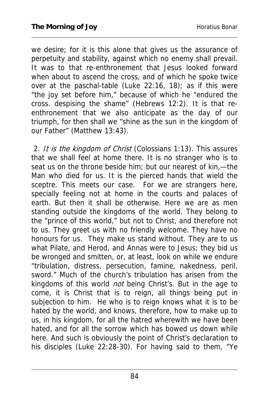we desire; for it is this alone that gives us the assurance of perpetuity and stability, against which no enemy shall prevail. It was to that re-enthronement that Jesus looked forward when about to ascend the cross, and of which he spoke twice over at the paschal-table (Luke 22:16, 18); as if this were "the joy set before him," because of which he "endured the cross. despising the shame" (Hebrews 12:2). It is that reenthronement that we also anticipate as the day of our triumph, for then shall we "shine as the sun in the kingdom of our Father" (Matthew 13:43).

2. It is the kingdom of Christ (Colossians 1:13). This assures that we shall feel at home there. It is no stranger who is to seat us on the throne beside him; but our nearest of kin,—the Man who died for us. It is the pierced hands that wield the sceptre. This meets our case. For we are strangers here, specially feeling not at home in the courts and palaces of earth. But then it shall be otherwise. Here we are as men standing outside the kingdoms of the world. They belong to the "prince of this world," but not to Christ, and therefore not to us. They greet us with no friendly welcome. They have no honours for us. They make us stand without. They are to us what Pilate, and Herod, and Annas were to Jesus; they bid us be wronged and smitten, or, at least, look on while we endure "tribulation, distress, persecution, famine, nakedness, peril, sword." Much of the church's tribulation has arisen from the kingdoms of this world *not* being Christ's. But in the age to come, it is Christ that is to reign, all things being put in subjection to him. He who is to reign knows what it is to be hated by the world, and knows, therefore, how to make up to us, in his kingdom, for all the hatred wherewith we have been hated, and for all the sorrow which has bowed us down while here. And such is obviously the point of Christ's declaration to his disciples (Luke 22:28-30). For having said to them, "Ye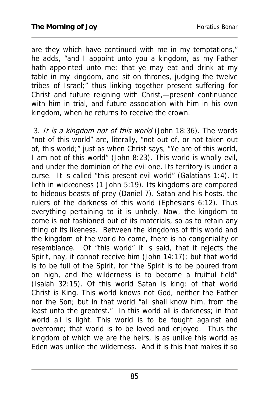are they which have continued with me in my temptations," he adds, "and I appoint unto you a kingdom, as my Father hath appointed unto me; that ye may eat and drink at my table in my kingdom, and sit on thrones, judging the twelve tribes of Israel;" thus linking together present suffering for Christ and future reigning with Christ,—present continuance with him in trial, and future association with him in his own kingdom, when he returns to receive the crown.

3. It is a kingdom not of this world (John 18:36). The words "not of this world" are, literally, "not out of, or not taken out of, this world;" just as when Christ says, "Ye are of this world, I am not of this world" (John 8:23). This world is wholly evil, and under the dominion of the evil one. Its territory is under a curse. It is called "this present evil world" (Galatians 1:4). It lieth in wickedness (1 John 5:19). Its kingdoms are compared to hideous beasts of prey (Daniel 7). Satan and his hosts, the rulers of the darkness of this world (Ephesians 6:12). Thus everything pertaining to it is unholy. Now, the kingdom to come is not fashioned out of its materials, so as to retain any thing of its likeness. Between the kingdoms of this world and the kingdom of the world to come, there is no congeniality or resemblance. Of "this world" it is said, that it rejects the Spirit, nay, it cannot receive him (John 14:17); but that world is to be full of the Spirit, for "the Spirit is to be poured from on high, and the wilderness is to become a fruitful field" (Isaiah 32:15). Of this world Satan is king; of that world Christ is King. This world knows not God, neither the Father nor the Son; but in that world "all shall know him, from the least unto the greatest." In this world all is darkness; in that world all is light. This world is to be fought against and overcome; that world is to be loved and enjoyed. Thus the kingdom of which we are the heirs, is as unlike this world as Eden was unlike the wilderness. And it is this that makes it so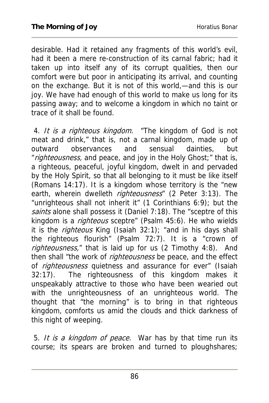desirable. Had it retained any fragments of this world's evil, had it been a mere re-construction of its carnal fabric; had it taken up into itself any of its corrupt qualities, then our comfort were but poor in anticipating its arrival, and counting on the exchange. But it is not of this world,—and this is our joy. We have had enough of this world to make us long for its passing away; and to welcome a kingdom in which no taint or trace of it shall be found.

4. It is a righteous kingdom. "The kingdom of God is not meat and drink," that is, not a carnal kingdom, made up of outward observances and sensual dainties, but "righteousness, and peace, and joy in the Holy Ghost;" that is, a righteous, peaceful, joyful kingdom, dwelt in and pervaded by the Holy Spirit, so that all belonging to it must be like itself (Romans 14:17). It is a kingdom whose territory is the "new earth, wherein dwelleth righteousness" (2 Peter 3:13). The "unrighteous shall not inherit it" (1 Corinthians 6:9); but the saints alone shall possess it (Daniel 7:18). The "sceptre of this kingdom is a righteous sceptre" (Psalm 45:6). He who wields it is the *righteous* King (Isaiah 32:1); "and in his days shall the righteous flourish" (Psalm 72:7). It is a "crown of righteousness," that is laid up for us (2 Timothy 4:8). And then shall "the work of *righteousness* be peace, and the effect of *righteousness* quietness and assurance for ever" (Isaiah 32:17). The righteousness of this kingdom makes it unspeakably attractive to those who have been wearied out with the unrighteousness of an unrighteous world. The thought that "the morning" is to bring in that righteous kingdom, comforts us amid the clouds and thick darkness of this night of weeping.

5. It is a kingdom of peace. War has by that time run its course; its spears are broken and turned to ploughshares;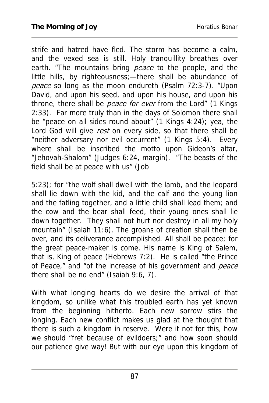strife and hatred have fled. The storm has become a calm, and the vexed sea is still. Holy tranquillity breathes over earth. "The mountains bring peace to the people, and the little hills, by righteousness;—there shall be abundance of peace so long as the moon endureth (Psalm 72:3-7). "Upon David, and upon his seed, and upon his house, and upon his throne, there shall be *peace for ever* from the Lord" (1 Kings 2:33). Far more truly than in the days of Solomon there shall be "peace on all sides round about" (1 Kings 4:24); yea, the Lord God will give rest on every side, so that there shall be "neither adversary nor evil occurrent" (1 Kings 5:4). Every where shall be inscribed the motto upon Gideon's altar, "Jehovah-Shalom" (Judges 6:24, margin). "The beasts of the field shall be at peace with us" (Job

5:23); for "the wolf shall dwell with the lamb, and the leopard shall lie down with the kid, and the calf and the young lion and the fatling together, and a little child shall lead them; and the cow and the bear shall feed, their young ones shall lie down together. They shall not hurt nor destroy in all my holy mountain" (Isaiah 11:6). The groans of creation shall then be over, and its deliverance accomplished. All shall be peace; for the great peace-maker is come. His name is King of Salem, that is, King of peace (Hebrews 7:2). He is called "the Prince of Peace," and "of the increase of his government and peace there shall be no end" (Isaiah 9:6, 7).

With what longing hearts do we desire the arrival of that kingdom, so unlike what this troubled earth has yet known from the beginning hitherto. Each new sorrow stirs the longing. Each new conflict makes us glad at the thought that there is such a kingdom in reserve. Were it not for this, how we should "fret because of evildoers;" and how soon should our patience give way! But with our eye upon this kingdom of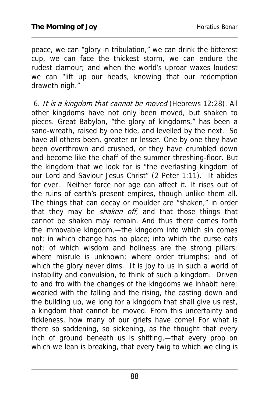peace, we can "glory in tribulation," we can drink the bitterest cup, we can face the thickest storm, we can endure the rudest clamour; and when the world's uproar waxes loudest we can "lift up our heads, knowing that our redemption draweth nigh."

 6. It is a kingdom that cannot be moved (Hebrews 12:28). All other kingdoms have not only been moved, but shaken to pieces. Great Babylon, "the glory of kingdoms," has been a sand-wreath, raised by one tide, and levelled by the next. So have all others been, greater or lesser. One by one they have been overthrown and crushed, or they have crumbled down and become like the chaff of the summer threshing-floor. But the kingdom that we look for is "the everlasting kingdom of our Lord and Saviour Jesus Christ" (2 Peter 1:11). It abides for ever. Neither force nor age can affect it. It rises out of the ruins of earth's present empires, though unlike them all. The things that can decay or moulder are "shaken," in order that they may be *shaken off*, and that those things that cannot be shaken may remain. And thus there comes forth the immovable kingdom,—the kingdom into which sin comes not; in which change has no place; into which the curse eats not; of which wisdom and holiness are the strong pillars; where misrule is unknown; where order triumphs; and of which the glory never dims. It is joy to us in such a world of instability and convulsion, to think of such a kingdom. Driven to and fro with the changes of the kingdoms we inhabit here; wearied with the falling and the rising, the casting down and the building up, we long for a kingdom that shall give us rest, a kingdom that cannot be moved. From this uncertainty and fickleness, how many of our griefs have come! For what is there so saddening, so sickening, as the thought that every inch of ground beneath us is shifting,—that every prop on which we lean is breaking, that every twig to which we cling is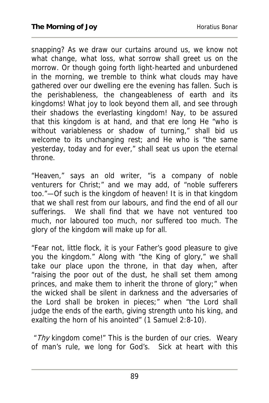snapping? As we draw our curtains around us, we know not what change, what loss, what sorrow shall greet us on the morrow. Or though going forth light-hearted and unburdened in the morning, we tremble to think what clouds may have gathered over our dwelling ere the evening has fallen. Such is the perishableness, the changeableness of earth and its kingdoms! What joy to look beyond them all, and see through their shadows the everlasting kingdom! Nay, to be assured that this kingdom is at hand, and that ere long He "who is without variableness or shadow of turning," shall bid us welcome to its unchanging rest; and He who is "the same yesterday, today and for ever," shall seat us upon the eternal throne.

"Heaven," says an old writer, "is a company of noble venturers for Christ;" and we may add, of "noble sufferers too."—Of such is the kingdom of heaven! It is in that kingdom that we shall rest from our labours, and find the end of all our sufferings. We shall find that we have not ventured too much, nor laboured too much, nor suffered too much. The glory of the kingdom will make up for all.

"Fear not, little flock, it is your Father's good pleasure to give you the kingdom." Along with "the King of glory," we shall take our place upon the throne, in that day when, after "raising the poor out of the dust, he shall set them among princes, and make them to inherit the throne of glory;" when the wicked shall be silent in darkness and the adversaries of the Lord shall be broken in pieces;" when "the Lord shall judge the ends of the earth, giving strength unto his king, and exalting the horn of his anointed" (1 Samuel 2:8-10).

"Thy kingdom come!" This is the burden of our cries. Weary of man's rule, we long for God's. Sick at heart with this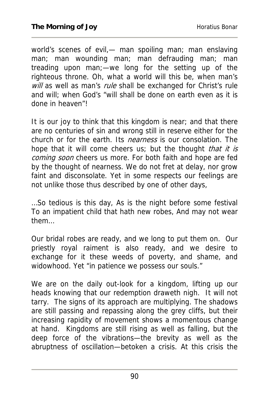world's scenes of evil,— man spoiling man; man enslaving man; man wounding man; man defrauding man; man treading upon man;—we long for the setting up of the righteous throne. Oh, what a world will this be, when man's  $\frac{1}{2}$  will as well as man's *rule* shall be exchanged for Christ's rule and will; when God's "will shall be done on earth even as it is done in heaven"!

It is our joy to think that this kingdom is near; and that there are no centuries of sin and wrong still in reserve either for the church or for the earth. Its *nearness* is our consolation. The hope that it will come cheers us; but the thought *that it is* coming soon cheers us more. For both faith and hope are fed by the thought of nearness. We do not fret at delay, nor grow faint and disconsolate. Yet in some respects our feelings are not unlike those thus described by one of other days,

…So tedious is this day, As is the night before some festival To an impatient child that hath new robes, And may not wear them…

Our bridal robes are ready, and we long to put them on. Our priestly royal raiment is also ready, and we desire to exchange for it these weeds of poverty, and shame, and widowhood. Yet "in patience we possess our souls."

We are on the daily out-look for a kingdom, lifting up our heads knowing that our redemption draweth nigh. It will not tarry. The signs of its approach are multiplying. The shadows are still passing and repassing along the grey cliffs, but their increasing rapidity of movement shows a momentous change at hand. Kingdoms are still rising as well as falling, but the deep force of the vibrations—the brevity as well as the abruptness of oscillation—betoken a crisis. At this crisis the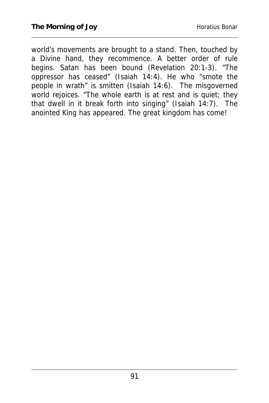world's movements are brought to a stand. Then, touched by a Divine hand, they recommence. A better order of rule begins. Satan has been bound (Revelation 20:1-3). "The oppressor has ceased" (Isaiah 14:4). He who "smote the people in wrath" is smitten (Isaiah 14:6). The misgoverned world rejoices. "The whole earth is at rest and is quiet; they that dwell in it break forth into singing" (Isaiah 14:7). The anointed King has appeared. The great kingdom has come!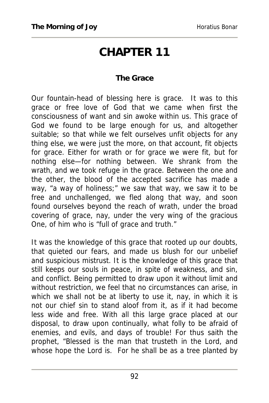# **CHAPTER 11**

#### **The Grace**

Our fountain-head of blessing here is grace. It was to this grace or free love of God that we came when first the consciousness of want and sin awoke within us. This grace of God we found to be large enough for us, and altogether suitable; so that while we felt ourselves unfit objects for any thing else, we were just the more, on that account, fit objects for grace. Either for wrath or for grace we were fit, but for nothing else—for nothing between. We shrank from the wrath, and we took refuge in the grace. Between the one and the other, the blood of the accepted sacrifice has made a way, "a way of holiness;" we saw that way, we saw it to be free and unchallenged, we fled along that way, and soon found ourselves beyond the reach of wrath, under the broad covering of grace, nay, under the very wing of the gracious One, of him who is "full of grace and truth."

It was the knowledge of this grace that rooted up our doubts, that quieted our fears, and made us blush for our unbelief and suspicious mistrust. It is the knowledge of this grace that still keeps our souls in peace, in spite of weakness, and sin, and conflict. Being permitted to draw upon it without limit and without restriction, we feel that no circumstances can arise, in which we shall not be at liberty to use it, nay, in which it is not our chief sin to stand aloof from it, as if it had become less wide and free. With all this large grace placed at our disposal, to draw upon continually, what folly to be afraid of enemies, and evils, and days of trouble! For thus saith the prophet, "Blessed is the man that trusteth in the Lord, and whose hope the Lord is. For he shall be as a tree planted by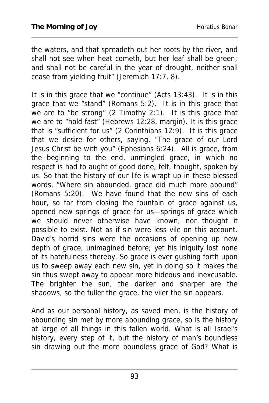the waters, and that spreadeth out her roots by the river, and shall not see when heat cometh, but her leaf shall be green; and shall not be careful in the year of drought, neither shall cease from yielding fruit" (Jeremiah 17:7, 8).

It is in this grace that we "continue" (Acts 13:43). It is in this grace that we "stand" (Romans 5:2). It is in this grace that we are to "be strong" (2 Timothy 2:1). It is this grace that we are to "hold fast" (Hebrews 12:28, margin). It is this grace that is "sufficient for us" (2 Corinthians 12:9). It is this grace that we desire for others, saying, "The grace of our Lord Jesus Christ be with you" (Ephesians 6:24). All is grace, from the beginning to the end, unmingled grace, in which no respect is had to aught of good done, felt, thought, spoken by us. So that the history of our life is wrapt up in these blessed words, "Where sin abounded, grace did much more abound" (Romans 5:20). We have found that the new sins of each hour, so far from closing the fountain of grace against us, opened new springs of grace for us—springs of grace which we should never otherwise have known, nor thought it possible to exist. Not as if sin were less vile on this account. David's horrid sins were the occasions of opening up new depth of grace, unimagined before; yet his iniquity lost none of its hatefulness thereby. So grace is ever gushing forth upon us to sweep away each new sin, yet in doing so it makes the sin thus swept away to appear more hideous and inexcusable. The brighter the sun, the darker and sharper are the shadows, so the fuller the grace, the viler the sin appears.

And as our personal history, as saved men, is the history of abounding sin met by more abounding grace, so is the history at large of all things in this fallen world. What is all Israel's history, every step of it, but the history of man's boundless sin drawing out the more boundless grace of God? What is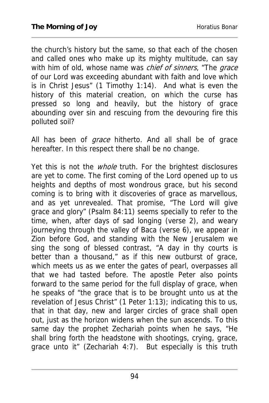the church's history but the same, so that each of the chosen and called ones who make up its mighty multitude, can say with him of old, whose name was *chief of sinners*, "The grace of our Lord was exceeding abundant with faith and love which is in Christ Jesus" (1 Timothy 1:14). And what is even the history of this material creation, on which the curse has pressed so long and heavily, but the history of grace abounding over sin and rescuing from the devouring fire this polluted soil?

All has been of *grace* hitherto. And all shall be of grace hereafter. In this respect there shall be no change.

Yet this is not the *whole* truth. For the brightest disclosures are yet to come. The first coming of the Lord opened up to us heights and depths of most wondrous grace, but his second coming is to bring with it discoveries of grace as marvellous, and as yet unrevealed. That promise, "The Lord will give grace and glory" (Psalm 84:11) seems specially to refer to the time, when, after days of sad longing (verse 2), and weary journeying through the valley of Baca (verse 6), we appear in Zion before God, and standing with the New Jerusalem we sing the song of blessed contrast, "A day in thy courts is better than a thousand," as if this new outburst of grace, which meets us as we enter the gates of pearl, overpasses all that we had tasted before. The apostle Peter also points forward to the same period for the full display of grace, when he speaks of "the grace that is to be brought unto us at the revelation of Jesus Christ" (1 Peter 1:13); indicating this to us, that in that day, new and larger circles of grace shall open out, just as the horizon widens when the sun ascends. To this same day the prophet Zechariah points when he says, "He shall bring forth the headstone with shootings, crying, grace, grace unto it" (Zechariah 4:7). But especially is this truth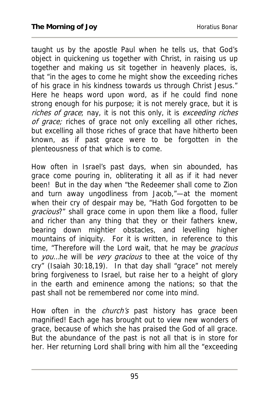taught us by the apostle Paul when he tells us, that God's object in quickening us together with Christ, in raising us up together and making us sit together in heavenly places, is, that "in the ages to come he might show the exceeding riches of his grace in his kindness towards us through Christ Jesus." Here he heaps word upon word, as if he could find none strong enough for his purpose; it is not merely grace, but it is riches of grace; nay, it is not this only, it is exceeding riches of grace; riches of grace not only excelling all other riches, but excelling all those riches of grace that have hitherto been known, as if past grace were to be forgotten in the plenteousness of that which is to come.

How often in Israel's past days, when sin abounded, has grace come pouring in, obliterating it all as if it had never been! But in the day when "the Redeemer shall come to Zion and turn away ungodliness from Jacob,"—at the moment when their cry of despair may be, "Hath God forgotten to be gracious?" shall grace come in upon them like a flood, fuller and richer than any thing that they or their fathers knew, bearing down mightier obstacles, and levelling higher mountains of iniquity. For it is written, in reference to this time, "Therefore will the Lord wait, that he may be *gracious* to you...he will be very gracious to thee at the voice of thy cry" (Isaiah 30:18,19). In that day shall "grace" not merely bring forgiveness to Israel, but raise her to a height of glory in the earth and eminence among the nations; so that the past shall not be remembered nor come into mind.

How often in the *church's* past history has grace been magnified! Each age has brought out to view new wonders of grace, because of which she has praised the God of all grace. But the abundance of the past is not all that is in store for her. Her returning Lord shall bring with him all the "exceeding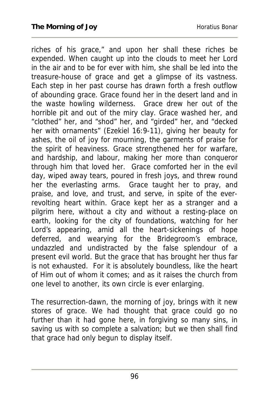riches of his grace," and upon her shall these riches be expended. When caught up into the clouds to meet her Lord in the air and to be for ever with him, she shall be led into the treasure-house of grace and get a glimpse of its vastness. Each step in her past course has drawn forth a fresh outflow of abounding grace. Grace found her in the desert land and in the waste howling wilderness. Grace drew her out of the horrible pit and out of the miry clay. Grace washed her, and "clothed" her, and "shod" her, and "girded" her, and "decked her with ornaments" (Ezekiel 16:9-11), giving her beauty for ashes, the oil of joy for mourning, the garments of praise for the spirit of heaviness. Grace strengthened her for warfare, and hardship, and labour, making her more than conqueror through him that loved her. Grace comforted her in the evil day, wiped away tears, poured in fresh joys, and threw round her the everlasting arms. Grace taught her to pray, and praise, and love, and trust, and serve, in spite of the everrevolting heart within. Grace kept her as a stranger and a pilgrim here, without a city and without a resting-place on earth, looking for the city of foundations, watching for her Lord's appearing, amid all the heart-sickenings of hope deferred, and wearying for the Bridegroom's embrace, undazzled and undistracted by the false splendour of a present evil world. But the grace that has brought her thus far is not exhausted. For it is absolutely boundless, like the heart of Him out of whom it comes; and as it raises the church from one level to another, its own circle is ever enlarging.

The resurrection-dawn, the morning of joy, brings with it new stores of grace. We had thought that grace could go no further than it had gone here, in forgiving so many sins, in saving us with so complete a salvation; but we then shall find that grace had only begun to display itself.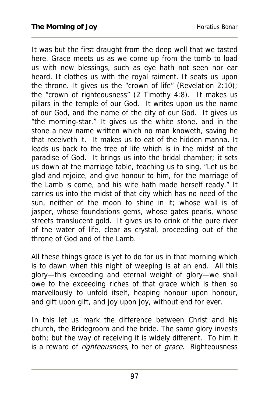It was but the first draught from the deep well that we tasted here. Grace meets us as we come up from the tomb to load us with new blessings, such as eye hath not seen nor ear heard. It clothes us with the royal raiment. It seats us upon the throne. It gives us the "crown of life" (Revelation 2:10); the "crown of righteousness" (2 Timothy 4:8). It makes us pillars in the temple of our God. It writes upon us the name of our God, and the name of the city of our God. It gives us "the morning-star." It gives us the white stone, and in the stone a new name written which no man knoweth, saving he that receiveth it. It makes us to eat of the hidden manna. It leads us back to the tree of life which is in the midst of the paradise of God. It brings us into the bridal chamber; it sets us down at the marriage table, teaching us to sing, "Let us be glad and rejoice, and give honour to him, for the marriage of the Lamb is come, and his wife hath made herself ready." It carries us into the midst of that city which has no need of the sun, neither of the moon to shine in it; whose wall is of jasper, whose foundations gems, whose gates pearls, whose streets translucent gold. It gives us to drink of the pure river of the water of life, clear as crystal, proceeding out of the throne of God and of the Lamb.

All these things grace is yet to do for us in that morning which is to dawn when this night of weeping is at an end. All this glory—this exceeding and eternal weight of glory—we shall owe to the exceeding riches of that grace which is then so marvellously to unfold itself, heaping honour upon honour, and gift upon gift, and joy upon joy, without end for ever.

In this let us mark the difference between Christ and his church, the Bridegroom and the bride. The same glory invests both; but the way of receiving it is widely different. To him it is a reward of *righteousness*, to her of *grace*. Righteousness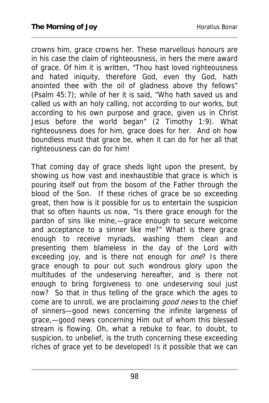crowns him, grace crowns her. These marvellous honours are in his case the claim of righteousness, in hers the mere award of grace. Of him it is written, "Thou hast loved righteousness and hated iniquity, therefore God, even thy God, hath anointed thee with the oil of gladness above thy fellows" (Psalm 45:7); while of her it is said, "Who hath saved us and called us with an holy calling, not according to our works, but according to his own purpose and grace, given us in Christ Jesus before the world began" (2 Timothy 1:9). What righteousness does for him, grace does for her. And oh how boundless must that grace be, when it can do for her all that righteousness can do for him!

That coming day of grace sheds light upon the present, by showing us how vast and inexhaustible that grace is which is pouring itself out from the bosom of the Father through the blood of the Son. If these riches of grace be so exceeding great, then how is it possible for us to entertain the suspicion that so often haunts us now, "Is there grace enough for the pardon of sins like mine,—grace enough to secure welcome and acceptance to a sinner like me?" What! is there grace enough to receive myriads, washing them clean and presenting them blameless in the day of the Lord with exceeding joy, and is there not enough for one? Is there grace enough to pour out such wondrous glory upon the multitudes of the undeserving hereafter, and is there not enough to bring forgiveness to one undeserving soul just now? So that in thus telling of the grace which the ages to come are to unroll, we are proclaiming good news to the chief of sinners—good news concerning the infinite largeness of grace,—good news concerning Him out of whom this blessed stream is flowing. Oh, what a rebuke to fear, to doubt, to suspicion, to unbelief, is the truth concerning these exceeding riches of grace yet to be developed! Is it possible that we can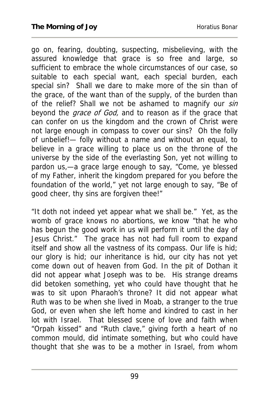go on, fearing, doubting, suspecting, misbelieving, with the assured knowledge that grace is so free and large, so sufficient to embrace the whole circumstances of our case, so suitable to each special want, each special burden, each special sin? Shall we dare to make more of the sin than of the grace, of the want than of the supply, of the burden than of the relief? Shall we not be ashamed to magnify our sin beyond the *grace of God*, and to reason as if the grace that can confer on us the kingdom and the crown of Christ were not large enough in compass to cover our sins? Oh the folly of unbelief!— folly without a name and without an equal, to believe in a grace willing to place us on the throne of the universe by the side of the everlasting Son, yet not willing to pardon us,—a grace large enough to say, "Come, ye blessed of my Father, inherit the kingdom prepared for you before the foundation of the world," yet not large enough to say, "Be of good cheer, thy sins are forgiven thee!"

"It doth not indeed yet appear what we shall be." Yet, as the womb of grace knows no abortions, we know "that he who has begun the good work in us will perform it until the day of Jesus Christ." The grace has not had full room to expand itself and show all the vastness of its compass. Our life is hid; our glory is hid; our inheritance is hid, our city has not yet come down out of heaven from God. In the pit of Dothan it did not appear what Joseph was to be. His strange dreams did betoken something, yet who could have thought that he was to sit upon Pharaoh's throne? It did not appear what Ruth was to be when she lived in Moab, a stranger to the true God, or even when she left home and kindred to cast in her lot with Israel. That blessed scene of love and faith when "Orpah kissed" and "Ruth clave," giving forth a heart of no common mould, did intimate something, but who could have thought that she was to be a mother in Israel, from whom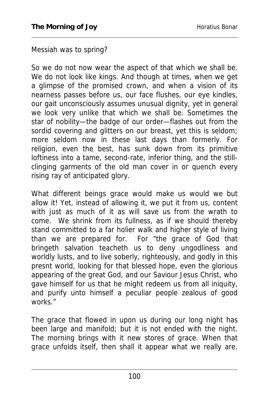Messiah was to spring?

So we do not now wear the aspect of that which we shall be. We do not look like kings. And though at times, when we get a glimpse of the promised crown, and when a vision of its nearness passes before us, our face flushes, our eye kindles, our gait unconsciously assumes unusual dignity, yet in general we look very unlike that which we shall be. Sometimes the star of nobility—the badge of our order—flashes out from the sordid covering and glitters on our breast, yet this is seldom; more seldom now in these last days than formerly. For religion, even the best, has sunk down from its primitive loftiness into a tame, second-rate, inferior thing, and the stillclinging garments of the old man cover in or quench every rising ray of anticipated glory.

What different beings grace would make us would we but allow it! Yet, instead of allowing it, we put it from us, content with just as much of it as will save us from the wrath to come. We shrink from its fullness, as if we should thereby stand committed to a far holier walk and higher style of living than we are prepared for. For "the grace of God that bringeth salvation teacheth us to deny ungodliness and worldly lusts, and to live soberly, righteously, and godly in this presnt world, looking for that blessed hope, even the glorious appearing of the great God, and our Saviour Jesus Christ, who gave himself for us that he might redeem us from all iniquity, and purify unto himself a peculiar people zealous of good works."

The grace that flowed in upon us during our long night has been large and manifold; but it is not ended with the night. The morning brings with it new stores of grace. When that grace unfolds itself, then shall it appear what we really are.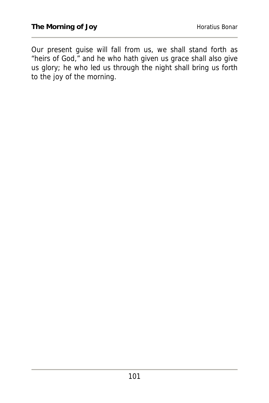Our present guise will fall from us, we shall stand forth as "heirs of God," and he who hath given us grace shall also give us glory; he who led us through the night shall bring us forth to the joy of the morning.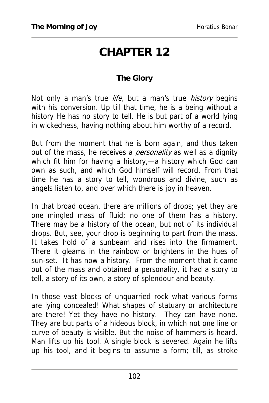# **CHAPTER 12**

### **The Glory**

Not only a man's true life, but a man's true history begins with his conversion. Up till that time, he is a being without a history He has no story to tell. He is but part of a world lying in wickedness, having nothing about him worthy of a record.

But from the moment that he is born again, and thus taken out of the mass, he receives a *personality* as well as a dignity which fit him for having a history,—a history which God can own as such, and which God himself will record. From that time he has a story to tell, wondrous and divine, such as angels listen to, and over which there is joy in heaven.

In that broad ocean, there are millions of drops; yet they are one mingled mass of fluid; no one of them has a history. There may be a history of the ocean, but not of its individual drops. But, see, your drop is beginning to part from the mass. It takes hold of a sunbeam and rises into the firmament. There it gleams in the rainbow or brightens in the hues of sun-set. It has now a history. From the moment that it came out of the mass and obtained a personality, it had a story to tell, a story of its own, a story of splendour and beauty.

In those vast blocks of unquarried rock what various forms are lying concealed! What shapes of statuary or architecture are there! Yet they have no history. They can have none. They are but parts of a hideous block, in which not one line or curve of beauty is visible. But the noise of hammers is heard. Man lifts up his tool. A single block is severed. Again he lifts up his tool, and it begins to assume a form; till, as stroke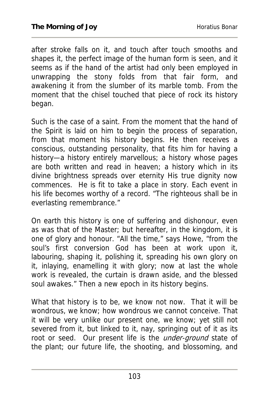after stroke falls on it, and touch after touch smooths and shapes it, the perfect image of the human form is seen, and it seems as if the hand of the artist had only been employed in unwrapping the stony folds from that fair form, and awakening it from the slumber of its marble tomb. From the moment that the chisel touched that piece of rock its history began.

Such is the case of a saint. From the moment that the hand of the Spirit is laid on him to begin the process of separation, from that moment his history begins. He then receives a conscious, outstanding personality, that fits him for having a history—a history entirely marvellous; a history whose pages are both written and read in heaven; a history which in its divine brightness spreads over eternity His true dignity now commences. He is fit to take a place in story. Each event in his life becomes worthy of a record. "The righteous shall be in everlasting remembrance."

On earth this history is one of suffering and dishonour, even as was that of the Master; but hereafter, in the kingdom, it is one of glory and honour. "All the time," says Howe, "from the soul's first conversion God has been at work upon it, labouring, shaping it, polishing it, spreading his own glory on it, inlaying, enamelling it with glory; now at last the whole work is revealed, the curtain is drawn aside, and the blessed soul awakes." Then a new epoch in its history begins.

What that history is to be, we know not now. That it will be wondrous, we know; how wondrous we cannot conceive. That it will be very unlike our present one, we know; yet still not severed from it, but linked to it, nay, springing out of it as its root or seed. Our present life is the *under-ground* state of the plant; our future life, the shooting, and blossoming, and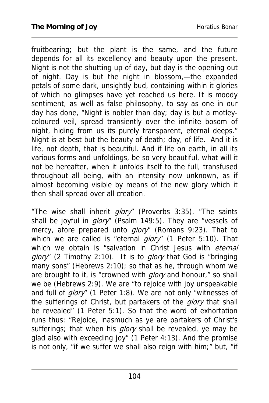fruitbearing; but the plant is the same, and the future depends for all its excellency and beauty upon the present. Night is not the shutting up of day, but day is the opening out of night. Day is but the night in blossom,—the expanded petals of some dark, unsightly bud, containing within it glories of which no glimpses have yet reached us here. It is moody sentiment, as well as false philosophy, to say as one in our day has done, "Night is nobler than day; day is but a motleycoloured veil, spread transiently over the infinite bosom of night, hiding from us its purely transparent, eternal deeps." Night is at best but the beauty of death; day, of life. And it is life, not death, that is beautiful. And if life on earth, in all its various forms and unfoldings, be so very beautiful, what will it not be hereafter, when it unfolds itself to the full, transfused throughout all being, with an intensity now unknown, as if almost becoming visible by means of the new glory which it then shall spread over all creation.

"The wise shall inherit *glory*" (Proverbs 3:35). "The saints shall be joyful in *glory*" (Psalm 149:5). They are "vessels of mercy, afore prepared unto *glory*" (Romans 9:23). That to which we are called is "eternal *glory*" (1 Peter 5:10). That which we obtain is "salvation in Christ Jesus with *eternal* glory" (2 Timothy 2:10). It is to glory that God is "bringing many sons" (Hebrews 2:10); so that as he, through whom we are brought to it, is "crowned with *glory* and honour," so shall we be (Hebrews 2:9). We are "to rejoice with joy unspeakable and full of *glory*" (1 Peter 1:8). We are not only "witnesses of the sufferings of Christ, but partakers of the glory that shall be revealed" (1 Peter 5:1). So that the word of exhortation runs thus: "Rejoice, inasmuch as ye are partakers of Christ's sufferings; that when his *glory* shall be revealed, ye may be glad also with exceeding joy" (1 Peter 4:13). And the promise is not only, "if we suffer we shall also reign with him;" but, "if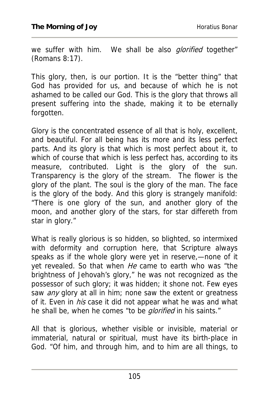we suffer with him. We shall be also *glorified* together" (Romans 8:17).

This glory, then, is our portion. It is the "better thing" that God has provided for us, and because of which he is not ashamed to be called our God. This is the glory that throws all present suffering into the shade, making it to be eternally forgotten.

Glory is the concentrated essence of all that is holy, excellent, and beautiful. For all being has its more and its less perfect parts. And its glory is that which is most perfect about it, to which of course that which is less perfect has, according to its measure, contributed. Light is the glory of the sun. Transparency is the glory of the stream. The flower is the glory of the plant. The soul is the glory of the man. The face is the glory of the body. And this glory is strangely manifold: "There is one glory of the sun, and another glory of the moon, and another glory of the stars, for star differeth from star in glory."

What is really glorious is so hidden, so blighted, so intermixed with deformity and corruption here, that Scripture always speaks as if the whole glory were yet in reserve,—none of it yet revealed. So that when He came to earth who was "the brightness of Jehovah's glory," he was not recognized as the possessor of such glory; it was hidden; it shone not. Few eyes saw *any* glory at all in him; none saw the extent or greatness of it. Even in *his* case it did not appear what he was and what he shall be, when he comes "to be *glorified* in his saints."

All that is glorious, whether visible or invisible, material or immaterial, natural or spiritual, must have its birth-place in God. "Of him, and through him, and to him are all things, to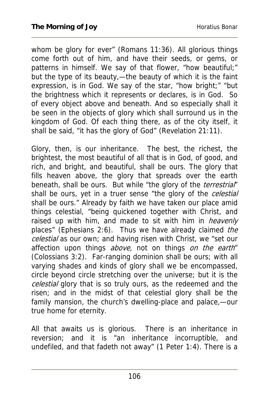whom be glory for ever" (Romans 11:36). All glorious things come forth out of him, and have their seeds, or gems, or patterns in himself. We say of that flower, "how beautiful;" but the type of its beauty,—the beauty of which it is the faint expression, is in God. We say of the star, "how bright;" "but the brightness which it represents or declares, is in God. So of every object above and beneath. And so especially shall it be seen in the objects of glory which shall surround us in the kingdom of God. Of each thing there, as of the city itself, it shall be said, "it has the glory of God" (Revelation 21:11).

Glory, then, is our inheritance. The best, the richest, the brightest, the most beautiful of all that is in God, of good, and rich, and bright, and beautiful, shall be ours. The glory that fills heaven above, the glory that spreads over the earth beneath, shall be ours. But while "the glory of the *terrestrial*" shall be ours, yet in a truer sense "the glory of the celestial shall be ours." Already by faith we have taken our place amid things celestial, "being quickened together with Christ, and raised up with him, and made to sit with him in *heavenly* places" (Ephesians 2:6). Thus we have already claimed the celestial as our own; and having risen with Christ, we "set our affection upon things above, not on things on the earth" (Colossians 3:2). Far-ranging dominion shall be ours; with all varying shades and kinds of glory shall we be encompassed, circle beyond circle stretching over the universe; but it is the celestial glory that is so truly ours, as the redeemed and the risen; and in the midst of that celestial glory shall be the family mansion, the church's dwelling-place and palace,—our true home for eternity.

All that awaits us is glorious. There is an inheritance in reversion; and it is "an inheritance incorruptible, and undefiled, and that fadeth not away" (1 Peter 1:4). There is a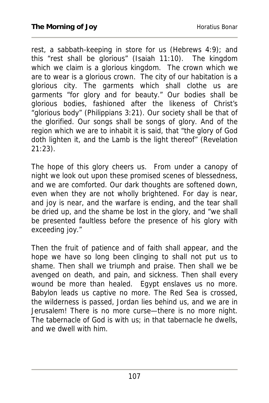rest, a sabbath-keeping in store for us (Hebrews 4:9); and this "rest shall be glorious" (Isaiah 11:10). The kingdom which we claim is a glorious kingdom. The crown which we are to wear is a glorious crown. The city of our habitation is a glorious city. The garments which shall clothe us are garments "for glory and for beauty." Our bodies shall be glorious bodies, fashioned after the likeness of Christ's "glorious body" (Philippians 3:21). Our society shall be that of the glorified. Our songs shall be songs of glory. And of the region which we are to inhabit it is said, that "the glory of God doth lighten it, and the Lamb is the light thereof" (Revelation 21:23).

The hope of this glory cheers us. From under a canopy of night we look out upon these promised scenes of blessedness, and we are comforted. Our dark thoughts are softened down, even when they are not wholly brightened. For day is near, and joy is near, and the warfare is ending, and the tear shall be dried up, and the shame be lost in the glory, and "we shall be presented faultless before the presence of his glory with exceeding joy."

Then the fruit of patience and of faith shall appear, and the hope we have so long been clinging to shall not put us to shame. Then shall we triumph and praise. Then shall we be avenged on death, and pain, and sickness. Then shall every wound be more than healed. Egypt enslaves us no more. Babylon leads us captive no more. The Red Sea is crossed, the wilderness is passed, Jordan lies behind us, and we are in Jerusalem! There is no more curse—there is no more night. The tabernacle of God is with us; in that tabernacle he dwells, and we dwell with him.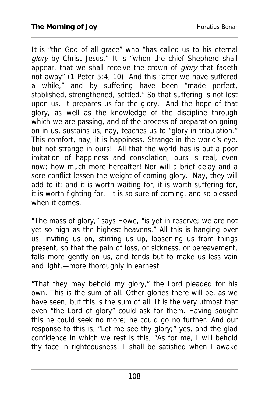It is "the God of all grace" who "has called us to his eternal glory by Christ Jesus." It is "when the chief Shepherd shall appear, that we shall receive the crown of *glory* that fadeth not away" (1 Peter 5:4, 10). And this "after we have suffered a while," and by suffering have been "made perfect, stablished, strengthened, settled." So that suffering is not lost upon us. It prepares us for the glory. And the hope of that glory, as well as the knowledge of the discipline through which we are passing, and of the process of preparation going on in us, sustains us, nay, teaches us to "glory in tribulation." This comfort, nay, it is happiness. Strange in the world's eye, but not strange in ours! All that the world has is but a poor imitation of happiness and consolation; ours is real, even now; how much more hereafter! Nor will a brief delay and a sore conflict lessen the weight of coming glory. Nay, they will add to it; and it is worth waiting for, it is worth suffering for, it is worth fighting for. It is so sure of coming, and so blessed when it comes.

"The mass of glory," says Howe, "is yet in reserve; we are not yet so high as the highest heavens." All this is hanging over us, inviting us on, stirring us up, loosening us from things present, so that the pain of loss, or sickness, or bereavement, falls more gently on us, and tends but to make us less vain and light,—more thoroughly in earnest.

"That they may behold my glory," the Lord pleaded for his own. This is the sum of all. Other glories there will be, as we have seen; but this is the sum of all. It is the very utmost that even "the Lord of glory" could ask for them. Having sought this he could seek no more; he could go no further. And our response to this is, "Let me see thy glory;" yes, and the glad confidence in which we rest is this, "As for me, I will behold thy face in righteousness; I shall be satisfied when I awake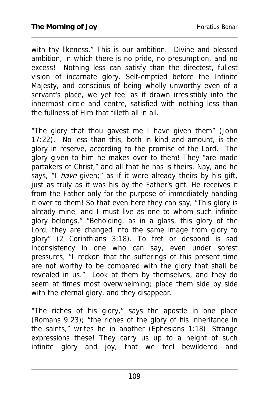with thy likeness." This is our ambition. Divine and blessed ambition, in which there is no pride, no presumption, and no excess! Nothing less can satisfy than the directest, fullest vision of incarnate glory. Self-emptied before the Infinite Majesty, and conscious of being wholly unworthy even of a servant's place, we yet feel as if drawn irresistibly into the innermost circle and centre, satisfied with nothing less than the fullness of Him that filleth all in all.

"The glory that thou gavest me I have given them" (John 17:22). No less than this, both in kind and amount, is the glory in reserve, according to the promise of the Lord. The glory given to him he makes over to them! They "are made partakers of Christ," and all that he has is theirs. Nay, and he says, "I *have* given;" as if it were already theirs by his gift, just as truly as it was his by the Father's gift. He receives it from the Father only for the purpose of immediately handing it over to them! So that even here they can say, "This glory is already mine, and I must live as one to whom such infinite glory belongs." "Beholding, as in a glass, this glory of the Lord, they are changed into the same image from glory to glory" (2 Corinthians 3:18). To fret or despond is sad inconsistency in one who can say, even under sorest pressures, "I reckon that the sufferings of this present time are not worthy to be compared with the glory that shall be revealed in us." Look at them by themselves, and they do seem at times most overwhelming; place them side by side with the eternal glory, and they disappear.

"The riches of his glory," says the apostle in one place (Romans 9:23); "the riches of the glory of his inheritance in the saints," writes he in another (Ephesians 1:18). Strange expressions these! They carry us up to a height of such infinite glory and joy, that we feel bewildered and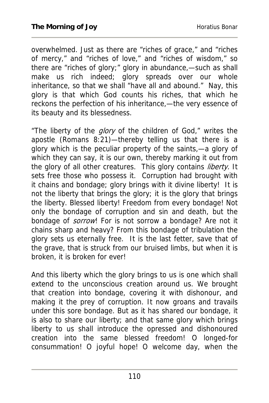overwhelmed. Just as there are "riches of grace," and "riches of mercy," and "riches of love," and "riches of wisdom," so there are "riches of glory;" glory in abundance,—such as shall make us rich indeed; glory spreads over our whole inheritance, so that we shall "have all and abound." Nay, this glory is that which God counts his riches, that which he reckons the perfection of his inheritance,—the very essence of its beauty and its blessedness.

"The liberty of the *glory* of the children of God," writes the apostle (Romans 8:21)—thereby telling us that there is a glory which is the peculiar property of the saints,—a glory of which they can say, it is our own, thereby marking it out from the glory of all other creatures. This glory contains liberty. It sets free those who possess it. Corruption had brought with it chains and bondage; glory brings with it divine liberty! It is not the liberty that brings the glory; it is the glory that brings the liberty. Blessed liberty! Freedom from every bondage! Not only the bondage of corruption and sin and death, but the bondage of *sorrow*! For is not sorrow a bondage? Are not it chains sharp and heavy? From this bondage of tribulation the glory sets us eternally free. It is the last fetter, save that of the grave, that is struck from our bruised limbs, but when it is broken, it is broken for ever!

And this liberty which the glory brings to us is one which shall extend to the unconscious creation around us. We brought that creation into bondage, covering it with dishonour, and making it the prey of corruption. It now groans and travails under this sore bondage. But as it has shared our bondage, it is also to share our liberty; and that same glory which brings liberty to us shall introduce the opressed and dishonoured creation into the same blessed freedom! O longed-for consummation! O joyful hope! O welcome day, when the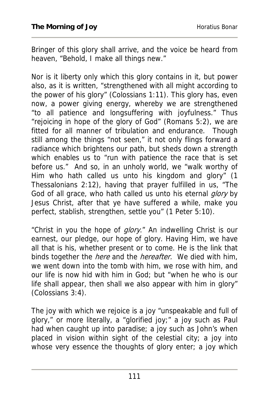Bringer of this glory shall arrive, and the voice be heard from heaven, "Behold, I make all things new."

Nor is it liberty only which this glory contains in it, but power also, as it is written, "strengthened with all might according to the power of his glory" (Colossians 1:11). This glory has, even now, a power giving energy, whereby we are strengthened "to all patience and longsuffering with joyfulness." Thus "rejoicing in hope of the glory of God" (Romans 5:2), we are fitted for all manner of tribulation and endurance. Though still among the things "not seen," it not only flings forward a radiance which brightens our path, but sheds down a strength which enables us to "run with patience the race that is set before us." And so, in an unholy world, we "walk worthy of Him who hath called us unto his kingdom and glory" (1 Thessalonians 2:12), having that prayer fulfilled in us, "The God of all grace, who hath called us unto his eternal *glory* by Jesus Christ, after that ye have suffered a while, make you perfect, stablish, strengthen, settle you" (1 Peter 5:10).

"Christ in you the hope of *glory*." An indwelling Christ is our earnest, our pledge, our hope of glory. Having Him, we have all that is his, whether present or to come. He is the link that binds together the *here* and the *hereafter*. We died with him, we went down into the tomb with him, we rose with him, and our life is now hid with him in God; but "when he who is our life shall appear, then shall we also appear with him in glory" (Colossians 3:4).

The joy with which we rejoice is a joy "unspeakable and full of glory," or more literally, a "glorified joy;" a joy such as Paul had when caught up into paradise; a joy such as John's when placed in vision within sight of the celestial city; a joy into whose very essence the thoughts of glory enter; a joy which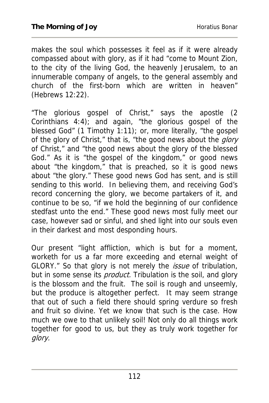makes the soul which possesses it feel as if it were already compassed about with glory, as if it had "come to Mount Zion, to the city of the living God, the heavenly Jerusalem, to an innumerable company of angels, to the general assembly and church of the first-born which are written in heaven" (Hebrews 12:22).

"The glorious gospel of Christ," says the apostle (2 Corinthians 4:4); and again, "the glorious gospel of the blessed God" (1 Timothy 1:11); or, more literally, "the gospel of the glory of Christ," that is, "the good news about the *glory* of Christ," and "the good news about the glory of the blessed God." As it is "the gospel of the kingdom," or good news about "the kingdom," that is preached, so it is good news about "the glory." These good news God has sent, and is still sending to this world. In believing them, and receiving God's record concerning the glory, we become partakers of it, and continue to be so, "if we hold the beginning of our confidence stedfast unto the end." These good news most fully meet our case, however sad or sinful, and shed light into our souls even in their darkest and most desponding hours.

Our present "light affliction, which is but for a moment, worketh for us a far more exceeding and eternal weight of GLORY." So that glory is not merely the *issue* of tribulation, but in some sense its *product*. Tribulation is the soil, and glory is the blossom and the fruit. The soil is rough and unseemly, but the produce is altogether perfect. It may seem strange that out of such a field there should spring verdure so fresh and fruit so divine. Yet we know that such is the case. How much we owe to that unlikely soil! Not only do all things work together for good to us, but they as truly work together for glory.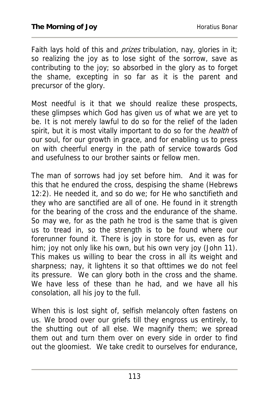Faith lays hold of this and *prizes* tribulation, nay, glories in it; so realizing the joy as to lose sight of the sorrow, save as contributing to the joy; so absorbed in the glory as to forget the shame, excepting in so far as it is the parent and precursor of the glory.

Most needful is it that we should realize these prospects, these glimpses which God has given us of what we are yet to be. It is not merely lawful to do so for the relief of the laden spirit, but it is most vitally important to do so for the health of our soul, for our growth in grace, and for enabling us to press on with cheerful energy in the path of service towards God and usefulness to our brother saints or fellow men.

The man of sorrows had joy set before him. And it was for this that he endured the cross, despising the shame (Hebrews 12:2). He needed it, and so do we; for He who sanctifieth and they who are sanctified are all of one. He found in it strength for the bearing of the cross and the endurance of the shame. So may we, for as the path he trod is the same that is given us to tread in, so the strength is to be found where our forerunner found it. There is joy in store for us, even as for him; joy not only like his own, but his own very joy (John 11). This makes us willing to bear the cross in all its weight and sharpness; nay, it lightens it so that ofttimes we do not feel its pressure. We can glory both in the cross and the shame. We have less of these than he had, and we have all his consolation, all his joy to the full.

When this is lost sight of, selfish melancoly often fastens on us. We brood over our griefs till they engross us entirely, to the shutting out of all else. We magnify them; we spread them out and turn them over on every side in order to find out the gloomiest. We take credit to ourselves for endurance,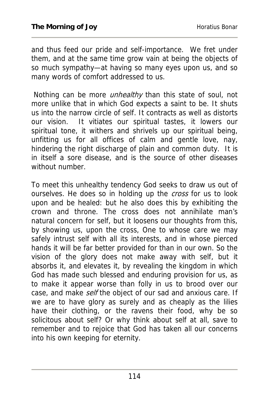and thus feed our pride and self-importance. We fret under them, and at the same time grow vain at being the objects of so much sympathy—at having so many eyes upon us, and so many words of comfort addressed to us.

Nothing can be more *unhealthy* than this state of soul, not more unlike that in which God expects a saint to be. It shuts us into the narrow circle of self. It contracts as well as distorts our vision. It vitiates our spiritual tastes, it lowers our spiritual tone, it withers and shrivels up our spiritual being, unfitting us for all offices of calm and gentle love, nay, hindering the right discharge of plain and common duty. It is in itself a sore disease, and is the source of other diseases without number.

To meet this unhealthy tendency God seeks to draw us out of ourselves. He does so in holding up the *cross* for us to look upon and be healed: but he also does this by exhibiting the crown and throne. The cross does not annihilate man's natural concern for self, but it loosens our thoughts from this, by showing us, upon the cross, One to whose care we may safely intrust self with all its interests, and in whose pierced hands it will be far better provided for than in our own. So the vision of the glory does not make away with self, but it absorbs it, and elevates it, by revealing the kingdom in which God has made such blessed and enduring provision for us, as to make it appear worse than folly in us to brood over our case, and make *self* the object of our sad and anxious care. If we are to have glory as surely and as cheaply as the lilies have their clothing, or the ravens their food, why be so solicitous about self? Or why think about self at all, save to remember and to rejoice that God has taken all our concerns into his own keeping for eternity.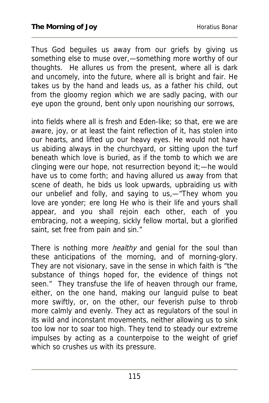Thus God beguiles us away from our griefs by giving us something else to muse over,—something more worthy of our thoughts. He allures us from the present, where all is dark and uncomely, into the future, where all is bright and fair. He takes us by the hand and leads us, as a father his child, out from the gloomy region which we are sadly pacing, with our eye upon the ground, bent only upon nourishing our sorrows,

into fields where all is fresh and Eden-like; so that, ere we are aware, joy, or at least the faint reflection of it, has stolen into our hearts, and lifted up our heavy eyes. He would not have us abiding always in the churchyard, or sitting upon the turf beneath which love is buried, as if the tomb to which we are clinging were our hope, not resurrection beyond it;—he would have us to come forth; and having allured us away from that scene of death, he bids us look upwards, upbraiding us with our unbelief and folly, and saying to us,—"They whom you love are yonder; ere long He who is their life and yours shall appear, and you shall rejoin each other, each of you embracing, not a weeping, sickly fellow mortal, but a glorified saint, set free from pain and sin."

There is nothing more *healthy* and genial for the soul than these anticipations of the morning, and of morning-glory. They are not visionary, save in the sense in which faith is "the substance of things hoped for, the evidence of things not seen." They transfuse the life of heaven through our frame, either, on the one hand, making our languid pulse to beat more swiftly, or, on the other, our feverish pulse to throb more calmly and evenly. They act as regulators of the soul in its wild and inconstant movements, neither allowing us to sink too low nor to soar too high. They tend to steady our extreme impulses by acting as a counterpoise to the weight of grief which so crushes us with its pressure.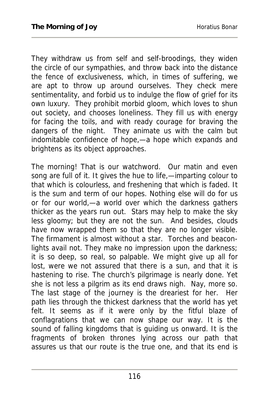They withdraw us from self and self-broodings, they widen the circle of our sympathies, and throw back into the distance the fence of exclusiveness, which, in times of suffering, we are apt to throw up around ourselves. They check mere sentimentality, and forbid us to indulge the flow of grief for its own luxury. They prohibit morbid gloom, which loves to shun out society, and chooses loneliness. They fill us with energy for facing the toils, and with ready courage for braving the dangers of the night. They animate us with the calm but indomitable confidence of hope,—a hope which expands and brightens as its object approaches.

The morning! That is our watchword. Our matin and even song are full of it. It gives the hue to life,—imparting colour to that which is colourless, and freshening that which is faded. It is the sum and term of our hopes. Nothing else will do for us or for our world,—a world over which the darkness gathers thicker as the years run out. Stars may help to make the sky less gloomy; but they are not the sun. And besides, clouds have now wrapped them so that they are no longer visible. The firmament is almost without a star. Torches and beaconlights avail not. They make no impression upon the darkness; it is so deep, so real, so palpable. We might give up all for lost, were we not assured that there is a sun, and that it is hastening to rise. The church's pilgrimage is nearly done. Yet she is not less a pilgrim as its end draws nigh. Nay, more so. The last stage of the journey is the dreariest for her. Her path lies through the thickest darkness that the world has yet felt. It seems as if it were only by the fitful blaze of conflagrations that we can now shape our way. It is the sound of falling kingdoms that is guiding us onward. It is the fragments of broken thrones lying across our path that assures us that our route is the true one, and that its end is